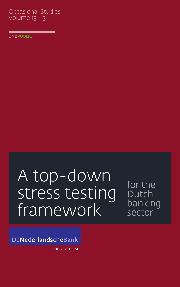## Occasional Studies Volume 15 - 3

**DNBPUBLIC** 

# A top-down stress testing framework

for the Dutch banking sector

DeNederlandscheBank

**EUROSYSTEEM**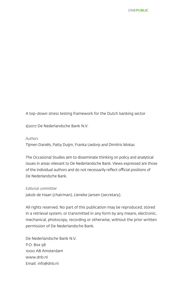A top-down stress testing framework for the Dutch banking sector

©2017 De Nederlandsche Bank N.V.

#### *Authors*

Tijmen Daniëls, Patty Duijm, Franka Liedorp and Dimitris Mokas

The Occasional Studies aim to disseminate thinking on policy and analytical issues in areas relevant to De Nederlandsche Bank. Views expressed are those of the individual authors and do not necessarily reflect official positions of De Nederlandsche Bank.

#### *Editorial committee*

Jakob de Haan (chairman), Lieneke Jansen (secretary).

All rights reserved. No part of this publication may be reproduced, stored in a retrieval system, or transmitted in any form by any means, electronic, mechanical, photocopy, recording or otherwise, without the prior written permission of De Nederlandsche Bank.

De Nederlandsche Bank N.V. P.O. Box 98 1000 AB Amsterdam www.dnb.nl Email: info@dnb.nl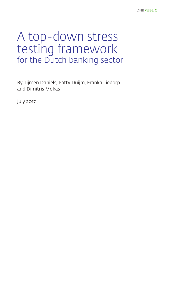# A top-down stress testing framework for the Dutch banking sector

By Tijmen Daniëls, Patty Duijm, Franka Liedorp and Dimitris Mokas

July 2017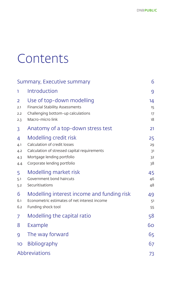# Contents

|                                     | Summary, Executive summary                                                                                                                                         | 6                          |
|-------------------------------------|--------------------------------------------------------------------------------------------------------------------------------------------------------------------|----------------------------|
| ı                                   | Introduction                                                                                                                                                       | 9                          |
| $\overline{2}$<br>2.1<br>2.2<br>2.3 | Use of top-down modelling<br>Financial Stability Assessments<br>Challenging bottom-up calculations<br>Macro-micro link                                             | 14<br>15<br>17<br>18       |
| 3                                   | Anatomy of a top-down stress test                                                                                                                                  | 21                         |
| 4<br>4.1<br>4.2<br>4.3<br>4.4       | Modelling credit risk<br>Calculation of credit losses<br>Calculation of stressed capital requirements<br>Mortgage lending portfolio<br>Corporate lending portfolio | 25<br>29<br>31<br>32<br>38 |
| 5<br>5.1<br>5.2                     | Modelling market risk<br>Government bond haircuts<br>Securitisations                                                                                               | 45<br>46<br>48             |
| 6<br>6.1<br>6.2                     | Modelling interest income and funding risk<br>Econometric estimates of net interest income<br>Funding shock tool                                                   | 49<br>51<br>55             |
| 7                                   | Modelling the capital ratio                                                                                                                                        | 58                         |
| 8                                   | Example                                                                                                                                                            | 60                         |
| 9                                   | The way forward                                                                                                                                                    | 65                         |
| 10                                  | <b>Bibliography</b>                                                                                                                                                | 67                         |
|                                     | Abbreviations                                                                                                                                                      | 73                         |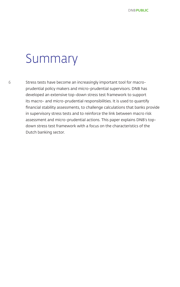# Summary

Stress tests have become an increasingly important tool for macroprudential policy makers and micro-prudential supervisors. DNB has developed an extensive top-down stress test framework to support its macro- and micro-prudential responsibilities. It is used to quantify financial stability assessments, to challenge calculations that banks provide in supervisory stress tests and to reinforce the link between macro risk assessment and micro-prudential actions. This paper explains DNB's topdown stress test framework with a focus on the characteristics of the Dutch banking sector.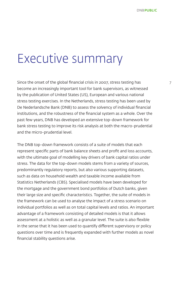# Executive summary

Since the onset of the global financial crisis in 2007, stress testing has become an increasingly important tool for bank supervisors, as witnessed by the publication of United States (US), European and various national stress testing exercises. In the Netherlands, stress testing has been used by De Nederlandsche Bank (DNB) to assess the solvency of individual financial institutions, and the robustness of the financial system as a whole. Over the past few years, DNB has developed an extensive top-down framework for bank stress testing to improve its risk analysis at both the macro-prudential and the micro-prudential level.

The DNB top-down framework consists of a suite of models that each represent specific parts of bank balance sheets and profit and loss accounts, with the ultimate goal of modelling key drivers of bank capital ratios under stress. The data for the top-down models stems from a variety of sources, predominantly regulatory reports, but also various supporting datasets, such as data on household wealth and taxable income available from Statistics Netherlands (CBS). Specialised models have been developed for the mortgage and the government bond portfolios of Dutch banks, given their large size and specific characteristics. Together, the suite of models in the framework can be used to analyse the impact of a stress scenario on individual portfolios as well as on total capital levels and ratios. An important advantage of a framework consisting of detailed models is that it allows assessment at a holistic as well as a granular level. The suite is also flexible in the sense that it has been used to quantify different supervisory or policy questions over time and is frequently expanded with further models as novel financial stability questions arise.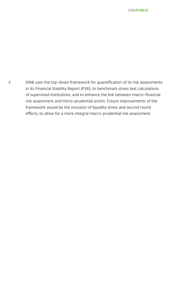8 DNB uses the top-down framework for quantification of its risk assessments in its Financial Stability Report (FSR), to benchmark stress test calculations of supervised institutions, and to enhance the link between macro-financial risk assessment and micro-prudential action. Future improvements of the framework would be the inclusion of liquidity stress and second round effects, to allow for a more integral macro-prudential risk assessment.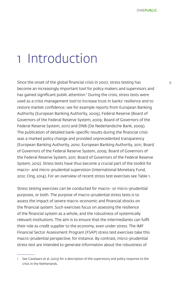# 1 Introduction

Since the onset of the global financial crisis in 2007, stress testing has 9 become an increasingly important tool for policy makers and supervisors and has gained significant public attention.<sup>1</sup> During the crisis, stress tests were used as a crisis management tool to increase trust in banks' resilience and to restore market confidence; see for example reports from European Banking Authority (European Banking Authority, 2009), Federal Reserve (Board of Governors of the Federal Reserve System, 2009; Board of Governors of the Federal Reserve System, 2011) and DNB (De Nederlandsche Bank, 2009). The publication of detailed bank-specific results during the financial crisis was a marked policy change and provided unprecedented transparency (European Banking Authority, 2010; European Banking Authority, 2011; Board of Governors of the Federal Reserve System, 2009; Board of Governors of the Federal Reserve System, 2011; Board of Governors of the Federal Reserve System, 2012). Stress tests have thus become a crucial part of the toolkit for macro- and micro-prudential supervision (International Monetary Fund, 2012; Ong, 2014). For an overview of recent stress test exercises see Table 1.

Stress testing exercises can be conducted for macro- or micro-prudential purposes, or both. The purpose of macro-prudential stress tests is to assess the impact of severe macro-economic and financial shocks on the financial system. Such exercises focus on assessing the resilience of the financial system as a whole, and the robustness of systemically relevant institutions. The aim is to ensure that the intermediaries can fulfil their role as credit supplier to the economy, even under stress. The IMF Financial Sector Assessment Program (FSAP) stress test exercises take this macro-prudential perspective, for instance. By contrast, micro-prudential stress test are intended to generate information about the robustness of

<sup>1</sup> See Cavelaars et al. (2013) for a description of the supervisory and policy response to the crisis in the Netherlands.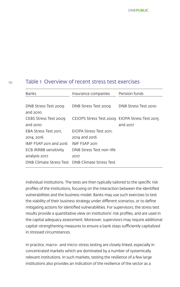#### Table 1. Overview of recent stress test exercises

| <b>Banks</b>                                    | Insurance companies                            | Pension funds        |
|-------------------------------------------------|------------------------------------------------|----------------------|
|                                                 |                                                |                      |
| DNB Stress Test 2009                            | DNB Stress Test 2009                           | DNB Stress Test 2010 |
| and $2010$                                      |                                                |                      |
| CEBS Stress Test 2009                           | CEIOPS Stress Test 2009 EIOPA Stress Test 2015 |                      |
| and $2010$                                      |                                                | and 2017             |
| EBA Stress Test 2011.                           | EIOPA Stress Test 2011.                        |                      |
| 2014, 2016                                      | 2014 and 2016                                  |                      |
| IMF FSAP 2011 and 2016                          | <b>IMF FSAP 2011</b>                           |                      |
| <b>ECB IRRBB sensitivity</b>                    | DNB Stress Test non-life                       |                      |
| analysis 2017                                   | 2017                                           |                      |
| DNB Climate Stress Test DNB Climate Stress Test |                                                |                      |

individual institutions. The tests are then typically tailored to the specific risk profiles of the institutions, focusing on the interaction between the identified vulnerabilities and the business model. Banks may use such exercises to test the viability of their business strategy under different scenarios, or to define mitigating actions for identified vulnerabilities. For supervisors, the stress test results provide a quantitative view on institutions' risk profiles, and are used in the capital adequacy assessment. Moreover, supervisors may require additional capital-strengthening measures to ensure a bank stays sufficiently capitalized in stressed circumstances.

In practice, macro- and micro-stress testing are closely linked, especially in concentrated markets which are dominated by a number of systemically relevant institutions. In such markets, testing the resilience of a few large institutions also provides an indication of the resilience of the sector as a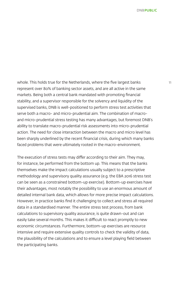whole. This holds true for the Netherlands, where the five largest banks 11 represent over 80% of banking sector assets, and are all active in the same markets. Being both a central bank mandated with promoting financial stability, and a supervisor responsible for the solvency and liquidity of the supervised banks, DNB is well-positioned to perform stress test activities that serve both a macro- and micro-prudential aim. The combination of macroand micro-prudential stress testing has many advantages, but foremost DNB's ability to translate macro-prudential risk assessments into micro-prudential action. The need for close interaction between the macro and micro level has been sharply underlined by the recent financial crisis, during which many banks faced problems that were ultimately rooted in the macro-environment.

The execution of stress tests may differ according to their aim. They may, for instance, be performed from the bottom up. This means that the banks themselves make the impact calculations usually subject to a prescriptive methodology and supervisory quality assurance (e.g. the EBA 2016 stress test can be seen as a constrained bottom-up exercise). Bottom-up exercises have their advantages, most notably the possibility to use an enormous amount of detailed internal bank data, which allows for more precise impact calculations. However, in practice banks find it challenging to collect and stress all required data in a standardised manner. The entire stress test process, from bank calculations to supervisory quality assurance, is quite drawn-out and can easily take several months. This makes it difficult to react promptly to new economic circumstances. Furthermore, bottom-up exercises are resource intensive and require extensive quality controls to check the validity of data, the plausibility of the calculations and to ensure a level playing field between the participating banks.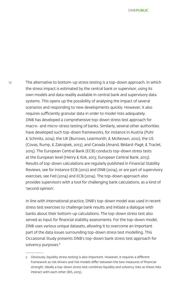12 The alternative to bottom-up stress testing is a top-down approach, in which the stress impact is estimated by the central bank or supervisor, using its own models and data readily available in central bank and supervisory data systems. This opens up the possibility of analysing the impact of several scenarios and responding to new developments quickly. However, it also requires sufficiently granular data in order to model risks adequately. DNB has developed a comprehensive top-down stress test approach for macro- and micro-stress testing of banks. Similarly, several other authorities have developed such top-down frameworks, for instance in Austria (Puhr & Schmitz, 2014), the UK (Burrows, Learmonth, & McKeown, 2012), the US (Covas, Rump, & Zakrajsek, 2013), and Canada (Anand, Bédard-Pagé, & Traclet, 2015). The European Central Bank (ECB) conducts top-down stress tests at the European level (Henry & Kok, 2013; European Central Bank, 2013). Results of top-down calculations are regularly published in Financial Stability Reviews, see for instance ECB (2012) and DNB (2014), or are part of supervisory exercises, see Fed (2014) and ECB (2014). The top-down approach also provides supervisors with a tool for challenging bank calculations, as a kind of 'second opinion'.

> In line with international practice, DNB's top-down model was used in recent stress test exercises to challenge bank results and initiate a dialogue with banks about their bottom-up calculations. The top-down stress test also served as input for financial stability assessments. For the top-down model, DNB uses various unique datasets, allowing it to overcome an important part of the data issues surrounding top-down stress test modelling. This Occasional Study presents DNB's top-down bank stress test approach for solvency purposes.<sup>2</sup>

<sup>2</sup> Obviously, liquidity stress testing is also important. However, it requires a different framework as risk drivers and risk models differ between the two measures of financial strength. Ideally a top-down stress test combines liquidity and solvency risks as these risks interact with each other (BIS, 2015).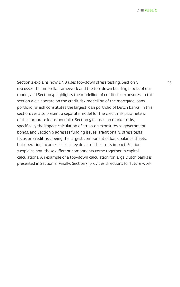Section 2 explains how DNB uses top-down stress testing. Section 3 discusses the umbrella framework and the top-down building blocks of our model, and Section 4 highlights the modelling of credit risk exposures. In this section we elaborate on the credit risk modelling of the mortgage loans portfolio, which constitutes the largest loan portfolio of Dutch banks. In this section, we also present a separate model for the credit risk parameters of the corporate loans portfolio. Section 5 focuses on market risks, specifically the impact calculation of stress on exposures to government bonds, and Section 6 adresses funding issues. Traditionally, stress tests focus on credit risk, being the largest component of bank balance sheets, but operating income is also a key driver of the stress impact. Section 7 explains how these different components come together in capital calculations. An example of a top-down calculation for large Dutch banks is presented in Section 8. Finally, Section 9 provides directions for future work.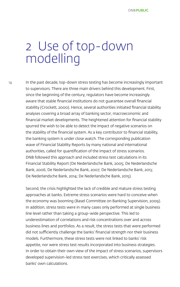# 2 Use of top-down modelling

14

In the past decade, top-down stress testing has become increasingly important to supervisors. There are three main drivers behind this development. First, since the beginning of the century, regulators have become increasingly aware that stable financial institutions do not guarantee overall financial stability (Crockett, 2000). Hence, several authorities initiated financial stability analyses covering a broad array of banking sector, macroeconomic and financial market developments. The heightened attention for financial stability spurred the wish to be able to detect the impact of negative scenarios on the stability of the financial system. As a key contributor to financial stability, the banking system is under close watch. The corresponding publication wave of Financial Stability Reports by many national and international authorities, called for quantification of the impact of stress scenarios. DNB followed this approach and included stress test calculations in its Financial Stability Report (De Nederlandsche Bank, 2005; De Nederlandsche Bank, 2006; De Nederlandsche Bank, 2007; De Nederlandsche Bank, 2013; De Nederlandsche Bank, 2014; De Nederlandsche Bank, 2015).

Second, the crisis highlighted the lack of credible and mature stress testing approaches at banks. Extreme stress scenarios were hard to conceive when the economy was booming (Basel Committee on Banking Supervision, 2009). In addition, stress tests were in many cases only performed at single business line level rather than taking a group-wide perspective. This led to underestimation of correlations and risk concentrations over and across business lines and portfolios. As a result, the stress tests that were performed did not sufficiently challenge the banks' financial strength nor their business models. Furthermore, these stress tests were not linked to banks' risk appetite, nor were stress test results incorporated into business strategies. In order to obtain their own view of the impact of stress scenarios, supervisors developed supervision-led stress test exercises, which critically assessed banks' own calculations.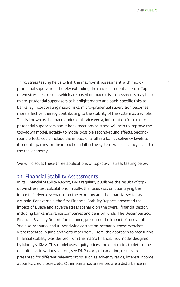Third, stress testing helps to link the macro-risk assessment with micro- 15 prudential supervision, thereby extending the macro-prudential reach. Topdown stress test results which are based on macro risk assessments may help micro-prudential supervisors to highlight macro and bank-specific risks to banks. By incorporating macro risks, micro-prudential supervision becomes more effective, thereby contributing to the stability of the system as a whole. This is known as the macro-micro link. Vice versa, information from microprudential supervisors about bank reactions to stress will help to improve the top-down model, notably to model possible second-round effects. Secondround effects could include the impact of a fall in a bank's solvency levels to its counterparties, or the impact of a fall in the system-wide solvency levels to the real economy.

We will discuss these three applications of top-down stress testing below.

### 2.1 Financial Stability Assessments

In its Financial Stability Report, DNB regularly publishes the results of topdown stress test calculations. Initially, the focus was on quantifying the impact of adverse scenarios on the economy and the financial sector as a whole. For example, the first Financial Stability Reports presented the impact of a base and adverse stress scenario on the overall financial sector, including banks, insurance companies and pension funds. The December 2005 Financial Stability Report, for instance, presented the impact of an overall 'malaise-scenario' and a 'worldwide correction-scenario', these exercises were repeated in June and September 2006. Here, the approach to measuring financial stability was derived from the macro financial risk model designed by Moody's-KMV. This model uses equity prices and debt ratios to determine default risks in various sectors, see DNB (2005). In addition, results are presented for different relevant ratios, such as solvency ratios, interest income at banks, credit losses, etc. Other scenarios presented are a disturbance in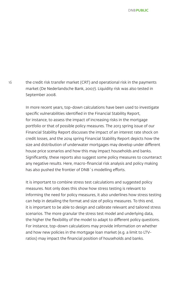16 the credit risk transfer market (CRT) and operational risk in the payments market (De Nederlandsche Bank, 2007). Liquidity risk was also tested in September 2008.

> In more recent years, top-down calculations have been used to investigate specific vulnerabilities identified in the Financial Stability Report, for instance, to assess the impact of increasing risks in the mortgage portfolio or that of possible policy measures. The 2013 spring issue of our Financial Stability Report discusses the impact of an interest rate shock on credit losses, and the 2014 spring Financial Stability Report depicts how the size and distribution of underwater mortgages may develop under different house price scenarios and how this may impact households and banks. Significantly, these reports also suggest some policy measures to counteract any negative results. Here, macro-financial risk analysis and policy making has also pushed the frontier of DNB´s modelling efforts.

> It is important to combine stress test calculations and suggested policy measures. Not only does this show how stress testing is relevant to informing the need for policy measures, it also underlines how stress testing can help in detailing the format and size of policy measures. To this end, it is important to be able to design and calibrate relevant and tailored stress scenarios. The more granular the stress test model and underlying data, the higher the flexibility of the model to adapt to different policy questions. For instance, top-down calculations may provide information on whether and how new policies in the mortgage loan market (e.g. a limit to LTVratios) may impact the financial position of households and banks.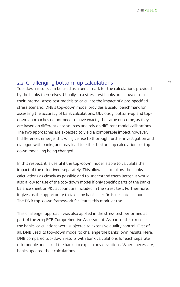### 2.2 Challenging bottom-up calculations 17

Top-down results can be used as a benchmark for the calculations provided by the banks themselves. Usually, in a stress test banks are allowed to use their internal stress test models to calculate the impact of a pre-specified stress scenario. DNB's top-down model provides a useful benchmark for assessing the accuracy of bank calculations. Obviously, bottom-up and topdown approaches do not need to have exactly the same outcome, as they are based on different data sources and rely on different model calibrations. The two approaches are expected to yield a comparable impact however. If differences emerge, this will give rise to thorough further investigation and dialogue with banks, and may lead to either bottom-up calculations or topdown modelling being changed.

In this respect, it is useful if the top-down model is able to calculate the impact of the risk drivers separately. This allows us to follow the banks' calculations as closely as possible and to understand them better. It would also allow for use of the top-down model if only specific parts of the banks' balance sheet or P&L account are included in the stress test. Furthermore, it gives us the opportunity to take any bank-specific issues into account. The DNB top-down framework facilitates this modular use.

This challenger approach was also applied in the stress test performed as part of the 2014 ECB Comprehensive Assessment. As part of this exercise, the banks' calculations were subjected to extensive quality control. First of all, DNB used its top-down model to challenge the banks' own results. Here, DNB compared top-down results with bank calculations for each separate risk module and asked the banks to explain any deviations. Where necessary, banks updated their calculations.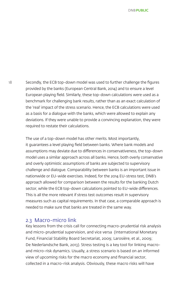18 Secondly, the ECB top-down model was used to further challenge the figures provided by the banks (European Central Bank, 2014) and to ensure a level European playing field. Similarly, these top-down calculations were used as a benchmark for challenging bank results, rather than as an exact calculation of the 'real' impact of the stress scenario. Hence, the ECB calculations were used as a basis for a dialogue with the banks, which were allowed to explain any deviations. If they were unable to provide a convincing explanation, they were required to restate their calculations.

> The use of a top-down model has other merits. Most importantly, it guarantees a level playing field between banks. Where bank models and assumptions may deviate due to differences in conservativeness, the top-down model uses a similar approach across all banks. Hence, both overly conservative and overly optimistic assumptions of banks are subjected to supervisory challenge and dialogue. Comparability between banks is an important issue in nationwide or EU-wide exercises. Indeed, for the 2014 EU-stress test, DNB's approach allowed for comparison between the results for the banking Dutch sector, while the ECB top-down calculations pointed to EU-wide differences. This is all the more relevant if stress test outcomes result in supervisory measures such as capital requirements. In that case, a comparable approach is needed to make sure that banks are treated in the same way.

#### 2.3 Macro-micro link

Key lessons from the crisis call for connecting macro-prudential risk analysis and micro-prudential supervision, and vice versa (International Monetary Fund, Financial Stability Board Secretariat, 2009; Larosière, et al., 2009; De Nederlandsche Bank, 2013). Stress testing is a key tool for linking macroand micro-risk dynamics. Usually, a stress scenario is based on an informed view of upcoming risks for the macro economy and financial sector, collected in a macro-risk analysis. Obviously, these macro risks will have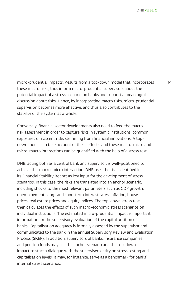micro-prudential impacts. Results from a top-down model that incorporates 19 these macro risks, thus inform micro-prudential supervisors about the potential impact of a stress scenario on banks and support a meaningful discussion about risks. Hence, by incorporating macro risks, micro-prudential supervision becomes more effective, and thus also contributes to the stability of the system as a whole.

Conversely, financial sector developments also need to feed the macrorisk assessment in order to capture risks in systemic institutions, common exposures or nascent risks stemming from financial innovations. A topdown model can take account of these effects, and these macro-micro and micro-macro interactions can be quantified with the help of a stress test.

DNB, acting both as a central bank and supervisor, is well-positioned to achieve this macro-micro interaction. DNB uses the risks identified in its Financial Stability Report as key input for the development of stress scenarios. In this case, the risks are translated into an anchor scenario, including shocks to the most relevant parameters such as GDP growth, unemployment, long- and short term interest rates, inflation, house prices, real estate prices and equity indices. The top-down stress test then calculates the effects of such macro-economic stress scenarios on individual institutions. The estimated micro-prudential impact is important information for the supervisory evaluation of the capital position of banks. Capitalisation adequacy is formally assessed by the supervisor and communicated to the bank in the annual Supervisory Review and Evaluation Process (SREP). In addition, supervisors of banks, insurance companies and pension funds may use the anchor scenario and the top-down impact to start a dialogue with the supervised entity on stress testing and capitalisation levels. It may, for instance, serve as a benchmark for banks' internal stress scenarios.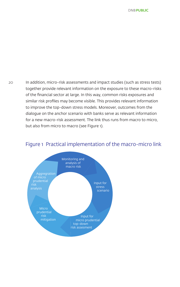20 In addition, micro-risk assessments and impact studies (such as stress tests) together provide relevant information on the exposure to these macro-risks of the financial sector at large. In this way, common risks exposures and similar risk profiles may become visible. This provides relevant information to improve the top-down stress models. Moreover, outcomes from the dialogue on the anchor scenario with banks serve as relevant information for a new macro-risk assessment. The link thus runs from macro to micro, but also from micro to macro (see Figure 1).



#### Figure 1 Practical implementation of the macro-micro link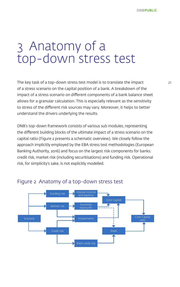# 3 Anatomy of a top-down stress test

The key task of a top-down stress test model is to translate the impact of a stress scenario on the capital position of a bank. A breakdown of the impact of a stress scenario on different components of a bank balance sheet allows for a granular calculation. This is especially relevant as the sensitivity to stress of the different risk sources may vary. Moreover, it helps to better understand the drivers underlying the results.

DNB's top-down framework consists of various sub modules, representing the different building blocks of the ultimate impact of a stress scenario on the capital ratio (Figure 2 presents a schematic overview). We closely follow the approach implicitly employed by the EBA stress test methodologies (European Banking Authority, 2016) and focus on the largest risk components for banks: credit risk, market risk (including securitisations) and funding risk. Operational risk, for simplicity's sake, is not explicitly modelled.



### Figure 2 Anatomy of a top-down stress test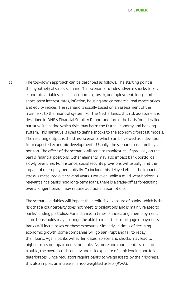22 The top-down approach can be described as follows. The starting point is the hypothetical stress scenario. This scenario includes adverse shocks to key economic variables, such as economic growth, unemployment, long- and short-term interest rates, inflation, housing and commercial real estate prices and equity indices. The scenario is usually based on an assessment of the main risks to the financial system. For the Netherlands, this risk assessment is described in DNB's Financial Stability Report and forms the basis for a detailed narrative indicating which risks may harm the Dutch economy and banking system. This narrative is used to define shocks to the economic forecast models. The resulting output is the stress scenario, which can be viewed as a deviation from expected economic developments. Usually, the scenario has a multi-year horizon. The effect of the scenario will tend to manifest itself gradually on the banks' financial positions. Other elements may also impact bank portfolios slowly over time. For instance, social security provisions will usually limit the impact of unemployment initially. To include this delayed effect, the impact of stress is measured over several years. However, while a multi-year horizon is relevant since banks hold long-term loans, there is a trade-off as forecasting over a longer horizon may require additional assumptions.

> The scenario variables will impact the credit risk exposure of banks, which is the risk that a counterparty does not meet its obligations and is mainly related to banks' lending portfolios. For instance, in times of increasing unemployment, some households may no longer be able to meet their mortgage repayments. Banks will incur losses on these exposures. Similarly, in times of declining economic growth, some companies will go bankrupt and fail to repay their loans. Again, banks will suffer losses. So scenario shocks may lead to higher losses or impairments for banks. As more and more debtors run into trouble, the overall credit quality and risk exposure of bank lending portfolios deteriorates. Since regulators require banks to weigh assets by their riskiness, this also implies an increase in risk-weighted assets (RWA).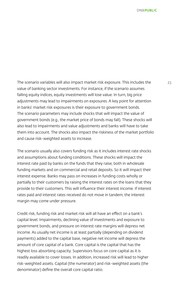The scenario variables will also impact market risk exposure. This includes the 23 value of banking sector investments. For instance, if the scenario assumes falling equity indices, equity investments will lose value. In turn, big price adjustments may lead to impairments on exposures. A key point for attention in banks' market risk exposures is their exposure to government bonds. The scenario parameters may include shocks that will impact the value of government bonds (e.g., the market price of bonds may fall). These shocks will also lead to impairments and value adjustments and banks will have to take them into account. The shocks also impact the riskiness of the market portfolio and cause risk-weighted assets to increase.

The scenario usually also covers funding risk as it includes interest rate shocks and assumptions about funding conditions. These shocks will impact the interest rate paid by banks on the funds that they raise, both in wholesale funding markets and on commercial and retail deposits. So it will impact their interest expense. Banks may pass on increases in funding costs wholly or partially to their customers by raising the interest rates on the loans that they provide to their customers. This will influence their interest income. If interest rates paid and interest rates received do not move in tandem, the interest margin may come under pressure.

Credit risk, funding risk and market risk will all have an effect on a bank's capital level. Impairments, declining value of investments and exposure to government bonds, and pressure on interest rate margins will depress net income. As usually net income is at least partially (depending on dividend payments) added to the capital base, negative net income will depress the amount of core capital of a bank. Core capital is the capital that has the highest loss absorbing capacity. Supervisors focus on core capital as it is readily available to cover losses. In addition, increased risk will lead to higher risk-weighted assets. Capital (the numerator) and risk-weighted assets (the denominator) define the overall core capital ratio.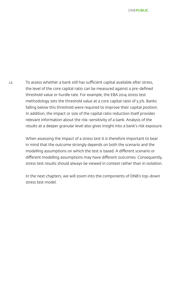24 To assess whether a bank still has sufficient capital available after stress, the level of the core capital ratio can be measured against a pre-defined threshold value or hurdle rate. For example, the EBA 2014 stress test methodology sets the threshold value at a core capital ratio of 5.5%. Banks falling below this threshold were required to improve their capital position. In addition, the impact or size of the capital ratio reduction itself provides relevant information about the risk-sensitivity of a bank. Analysis of the results at a deeper granular level also gives insight into a bank's risk exposure.

> When assessing the impact of a stress test it is therefore important to bear in mind that the outcome strongly depends on both the scenario and the modelling assumptions on which the test is based. A different scenario or different modelling assumptions may have different outcomes. Consequently, stress test results should always be viewed in context rather than in isolation.

In the next chapters, we will zoom into the components of DNB's top-down stress test model.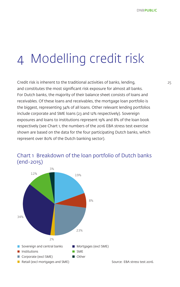# 4 Modelling credit risk

Credit risk is inherent to the traditional activities of banks, lending, 25 and constitutes the most significant risk exposure for almost all banks. For Dutch banks, the majority of their balance sheet consists of loans and receivables. Of these loans and receivables, the mortgage loan portfolio is the biggest, representing 34% of all loans. Other relevant lending portfolios include corporate and SME loans (23 and 12% respectively). Sovereign exposures and loans to institutions represent 19% and 8% of the loan book respectively (see Chart 1, the numbers of the 2016 EBA stress test exercise shown are based on the data for the four participating Dutch banks, which represent over 80% of the Dutch banking sector).



### Chart 1 Breakdown of the loan portfolio of Dutch banks (end-2015)

Source: EBA stress test 2016.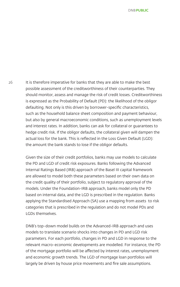26 It is therefore imperative for banks that they are able to make the best possible assessment of the creditworthiness of their counterparties. They should monitor, assess and manage the risk of credit losses. Creditworthiness is expressed as the Probability of Default (PD): the likelihood of the obligor defaulting. Not only is this driven by borrower-specific characteristics, such as the household balance sheet composition and payment behaviour, but also by general macroeconomic conditions, such as unemployment levels and interest rates. In addition, banks can ask for collateral or guarantees to hedge credit risk. If the obligor defaults, the collateral given will dampen the actual loss for the bank. This is reflected in the Loss Given Default (LGD): the amount the bank stands to lose if the obligor defaults.

> Given the size of their credit portfolios, banks may use models to calculate the PD and LGD of credit risk exposures. Banks following the Advanced Internal Ratings Based (IRB) approach of the Basel III capital framework are allowed to model both these parameters based on their own data on the credit quality of their portfolio, subject to regulatory approval of the models. Under the Foundation-IRB approach, banks model only the PD based on internal data, and the LGD is prescribed in the regulation. Banks applying the Standardised Approach (SA) use a mapping from assets to risk categories that is prescribed in the regulation and do not model PDs and LGDs themselves.

DNB's top-down model builds on the Advanced-IRB approach and uses models to translate scenario shocks into changes in PD and LGD risk parameters. For each portfolio, changes in PD and LGD in response to the relevant macro-economic developments are modelled. For instance, the PD of the mortgage portfolio will be affected by interest rates, unemployment and economic growth trends. The LGD of mortgage loan portfolios will largely be driven by house price movements and fire sale assumptions.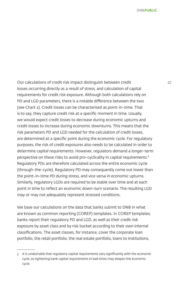Our calculations of credit risk impact distinguish between credit 27 losses occurring directly as a result of stress, and calculation of capital requirements for credit risk exposure. Although both calculations rely on PD and LGD parameters, there is a notable difference between the two (see Chart 2). Credit losses can be characterised as point-in-time. That is to say, they capture credit risk at a specific moment in time. Usually, we would expect credit losses to decrease during economic upturns and credit losses to increase during economic downturns. This means that the risk parameters PD and LGD needed for the calculation of credit losses, are determined at a specific point during the economic cycle. For regulatory purposes, the risk of credit exposures also needs to be calculated in order to determine capital requirements. However, regulators demand a longer-term perspective on these risks to avoid pro-cyclicality in capital requirements.<sup>3</sup> Regulatory PDs are therefore calculated across the entire economic cycle (through-the-cycle). Regulatory PD may consequently come out lower than the point-in-time PD during stress, and vice versa in economic upturns. Similarly, regulatory LGDs are required to be stable over time and at each point in time to reflect an economic down-turn scenario. The resulting LGD may or may not adequately represent stressed conditions.

We base our calculations on the data that banks submit to DNB in what are known as common reporting (COREP) templates. In COREP templates, banks report their regulatory PD and LGD, as well as their credit risk exposure by asset class and by risk bucket according to their own internal classifications. The asset classes, for instance, cover the corporate loan portfolio, the retail portfolio, the real estate portfolio, loans to institutions,

<sup>3</sup> It is undesirable that regulatory capital requirements vary significantly with the economic cycle, as tightening bank capital requirements in bad times may deepen the economic cycle.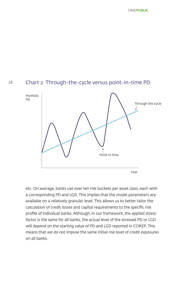

Year

etc. On average, banks use over ten risk buckets per asset class, each with a corresponding PD and LGD. This implies that the model parameters are available on a relatively granular level. This allows us to better tailor the calculation of credit losses and capital requirements to the specific risk profile of individual banks. Although, in our framework, the applied stress factor is the same for all banks, the actual level of the stressed PD or LGD will depend on the starting value of PD and LGD reported in COREP. This means that we do not impose the same initial risk level of credit exposures on all banks.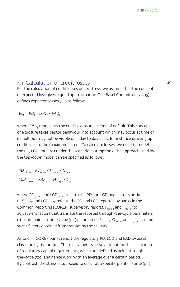### 4.1 Calculation of credit losses 29

For the calculation of credit losses under stress, we assume that the concept of expected loss gives a good approximation. The Basel Committee (2005) defines expected losses (EL) as follows

 $EL_t = PD_t \times LGD_t \times EAD_t$ 

where EAD $_{\rm t}$  represents the credit exposure at time of default. This concept of exposure takes debtor behaviour into account which may occur at time of default but may not be visible on a day to day basis, for instance drawing up credit lines to the maximum extent. To calculate losses, we need to model the PD, LGD and EAD under the scenario assumptions. The approach used by the top-down model can be specified as follows:

$$
PD_{\text{t,stress}} = PD_{\text{corep}} \times F_{\text{ttc-pit}} \times G_{\text{t,stress}}
$$
  

$$
LGD_{\text{t,stress}} = LGD_{\text{corep}} \times H_{\text{ttc-pit}} \times L_{\text{t,stress}}
$$

where PD $_{\text{tstress}}$  and LGD $_{\text{tstress}}$  refer to the PD and LGD under stress at time t. PDcorep and LGDcorep refer to the PD and LGD reported by banks in the Common Reporting (COREP) supervisory reports,  $F_{tt\rightarrow pit}$  and  $H_{tt\rightarrow pit}$  to adjustment factors that translate the reported through-the-cycle parameters (ttc) into point-in-time value (pit) parameters. Finally,  $G_{t,stress}$  and  $L_{t,stress}$  are the stress factors obtained from translating the scenario.

As said, in COREP banks report the regulatory PD, LGD and EAD by asset class and by risk bucket. These parameters serve as input for the calculation of regulatory capital requirements, which are defined as being throughthe-cycle (ttc) and hence work with an average over a certain period. By contrast, the stress is supposed to occur at a specific point-in-time (pit).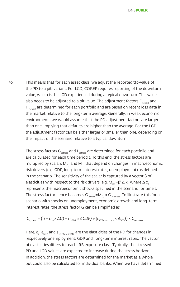30 This means that for each asset class, we adjust the reported ttc-value of the PD to a pit-variant. For LGD, COREP requires reporting of the downturn value, which is the LGD experienced during a typical downturn. This value also needs to be adjusted to a pit value. The adjustment factors  $F_{ttc\rightarrow pit}$  and  $H_{ttc\rightarrow pit}$  are determined for each portfolio and are based on recent loss data in the market relative to the long-term average. Generally, in weak economic environments we would assume that the PD adjustment factors are larger than one, implying that defaults are higher than the average. For the LGD, the adjustment factor can be either larger or smaller than one, depending on the impact of the scenario relative to a typical downturn.

> The stress factors  $G_{t_{\text{stress}}}$  and  $L_{t_{\text{stress}}}$  are determined for each portfolio and are calculated for each time period t. To this end, the stress factors are multiplied by scalars  $M_{\text{Gt}}$  and  $M_{\text{Ht}}$  that depend on changes in macroeconomic risk drivers (e.g. GDP, long-term interest rates, unemployment) as defined in the scenario. The sensitivity of the scalar is captured by a vector  $β$  of elasticities with respect to the risk drivers, e.g.  $M_{Gt} = \beta' \Delta x_t$ , where  $\Delta x_t$ represents the macroeconomic shocks specified in the scenario for time t. The stress factor hence becomes  $G_{t,stress}=M_{G,t}$  x  $G_{t-1,stress}$ . To illustrate this for a scenario with shocks on unemployment, economic growth and long-term interest rates, the stress factor G can be simplified as

$$
G_{t, stress} = (1 + (\varepsilon_{u} \times \Delta U) + (\varepsilon_{GDP} \times \Delta GDP) + (\varepsilon_{LT\text{ interest rate}} \times \Delta i_{LT}) \times G_{t-1, stress}
$$

Here,  $\varepsilon_{\text{u}}$ ,  $\varepsilon_{\text{GDP}}$  and  $\varepsilon_{\text{LT interest rate}}$  are the elasticities of the PD for changes in respectively unemployment, GDP and long-term interest rates. The vector of elasticities differs for each IRB exposure class. Typically, the stressed PD and LGD values are expected to increase during the stress horizon. In addition, the stress factors are determined for the market as a whole, but could also be calculated for individual banks. When we have determined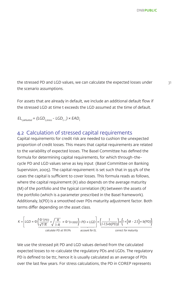the stressed PD and LGD values, we can calculate the expected losses under 31 the scenario assumptions.

For assets that are already in default, we include an additional default flow if the stressed LGD at time t exceeds the LGD assumed at the time of default.

 $EL_{t,defined} = (LGD_{t,stress} - LGD_{t-1}) \times EAD_{t}$ 

### 4.2 Calculation of stressed capital requirements

Capital requirements for credit risk are needed to cushion the unexpected proportion of credit losses. This means that capital requirements are related to the variability of expected losses. The Basel Committee has defined the formula for determining capital requirements, for which through-thecycle PD and LGD values serve as key input (Basel Committee on Banking Supervision, 2005). The capital requirement is set such that in 99.9% of the cases the capital is sufficient to cover losses. This formula reads as follows, where the capital requirement (K) also depends on the average maturity (M) of the portfolio and the typical correlation (R) between the assets of the portfolio (which is a parameter prescribed in the Basel framework). Additionaly, b(PD) is a smoothed over PDs maturity adjustment factor. Both terms differ depending on the asset class.

$$
K = \left[ LGD \times \Phi \left( \frac{\Phi^{\text{-1}}(PD)}{\sqrt{1-R}} + \sqrt{\frac{R}{1-R}} \times \Phi^{\text{-1}}(0.999) \right) - PD \times LGD \right] \times \left( \frac{1}{1-1.5 \times b(PD)} \right) \times \left( 1 + (M - 2.5) \times b(PD) \right)
$$
  
calculate PD at 99.9%

We use the stressed pit PD and LGD values derived from the calculated expected losses to re-calculate the regulatory PDs and LGDs. The regulatory PD is defined to be ttc, hence it is usually calculated as an average of PDs over the last few years. For stress calculations, the PD in COREP represents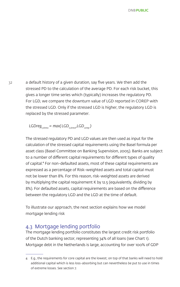32 a default history of a given duration, say five years. We then add the stressed PD to the calculation of the average PD. For each risk bucket, this gives a longer time series which (typically) increases the regulatory PD. For LGD, we compare the downturn value of LGD reported in COREP with the stressed LGD. Only if the stressed LGD is higher, the regulatory LGD is replaced by the stressed parameter.

*LGDreg*<sub>t,stress</sub> = max( *LGD<sub>t stress</sub>*,*LGD<sub>coren</sub>*)

The stressed regulatory PD and LGD values are then used as input for the calculation of the stressed capital requirements using the Basel formula per asset class (Basel Committee on Banking Supervision, 2005). Banks are subject to a number of different capital requirements for different types of quality of capital.<sup>4</sup> For non-defaulted assets, most of these capital requirements are expressed as a percentage of Risk-weighted assets and total capital must not be lower than 8%. For this reason, risk-weighted assets are derived by multiplying the capital requirement K by 12.5 (equivalently, dividing by 8%). For defaulted assets, capital requirements are based on the difference between the regulatory LGD and the LGD at the time of default.

To illustrate our approach, the next section explains how we model mortgage lending risk

### 4.3 Mortgage lending portfolio

The mortgage lending portfolio constitutes the largest credit risk portfolio of the Dutch banking sector, representing 34% of all loans (see Chart 1). Mortgage debt in the Netherlands is large, accounting for over 100% of GDP

<sup>4</sup> E.g., the requirements for core capital are the lowest; on top of that banks will need to hold additional capital which is less loss-absorbing but can nevertheless be put to use in times of extreme losses. See section 7.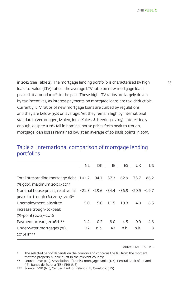in 2012 (see Table 2). The mortgage lending portfolio is characterised by high 33 loan-to-value (LTV) ratios: the average LTV ratio on new mortgage loans peaked at around 100% in the past. These high LTV ratios are largely driven by tax incentives, as interest payments on mortgage loans are tax-deductible. Currently, LTV ratios of new mortgage loans are curbed by regulations and they are below 95% on average. Yet they remain high by international standards (Verbruggen, Molen, Jonk, Kakes, & Heeringa, 2015). Interestingly enough, despite a 21% fall in nominal house prices from peak to trough, mortgage loan losses remained low at an average of 20 basis points in 2015.

### Table 2 International comparison of mortgage lending 1 portfolios

|                                                                         | NL  | DK   | IE   | ES   | UK   | US   |
|-------------------------------------------------------------------------|-----|------|------|------|------|------|
| Total outstanding mortgage debt 101.2 94.1 87.3                         |     |      |      | 62.9 | 78.7 | 86.2 |
| (% gdp), maximum 2004-2015                                              |     |      |      |      |      |      |
| Nominal house prices, relative fall -21.5 -19.6 -54.4 -36.9 -20.9 -19.7 |     |      |      |      |      |      |
| peak-to-trough (%) 2007-2016*                                           |     |      |      |      |      |      |
| Unemployment, absolute                                                  | 5.0 | 5.0  | 11.5 | 19.3 | 4.0  | 6.5  |
| increase trough-to-peak                                                 |     |      |      |      |      |      |
| (%-point) 2007-2016                                                     |     |      |      |      |      |      |
| Payment arrears, 2016H1**                                               | 1.4 | 0.2  | 8.0  | 4.5  | 0.9  | 4.6  |
| Underwater mortgages (%),                                               | 22  | n.b. | 43   | n.b. | n.b. | 8    |
| 2016H1***                                                               |     |      |      |      |      |      |

Source: EMF, BIS, IMF.

The selected period depends on the country and concerns the fall from the moment that the property bubble burst in the relevant country.

<sup>\*\*</sup> Source: DNB (NL), Association of Danisk mortgage banks (DK), Central Bank of Ireland (IE), Banco de Espana (ES), FRB (US)

<sup>\*\*\*</sup> Source: DNB (NL), Central Bank of Ireland (IE), Corelogic (US)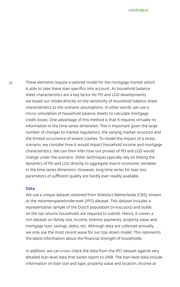34 These elements require a tailored model for the mortgage market which is able to take these loan specifics into account. As household balance sheet characteristics are a key factor for PD and LGD developments, we based our model directly on the sensitivity of household balance sheet characteristics to the scenario assumptions. In other words, we use a micro-simulation of household balance sheets to calculate mortgage credit losses. One advantage of this method is that it requires virtually no information in the time series dimension. This is important given the large number of changes to market regulations, the varying market structure and the limited occurrence of severe crashes. To model the impact of a stress scenario, we consider how it would impact household income and mortgage characteristics. We can then infer how our proxies of PD and LGD would change under the scenario. Other techniques typically rely on linking the dynamics of PD and LGD directly to aggregate macro-economic variables in the time series dimension. However, long time series for loan loss parameters of sufficient quality are hardly ever readily available.

#### Data

We use a unique dataset obtained from Statistics Netherlands (CBS), known as the Inkomenspanelonderzoek (IPO) dataset. This dataset includes a representative sample of the Dutch population (n>100,000) and builds on the tax returns households are required to submit. Hence, it covers a rich dataset on family size, income, interest payments, property value and mortgage loan, savings, debts, etc. Although data are collected annually, we only use the most recent wave for our top-down model. This represents the latest information about the financial strength of households.

In addition, we can cross-check the data from the IPO dataset against very detailed loan level data that banks report to DNB. The loan level data include information on loan size and type, property value and location, income at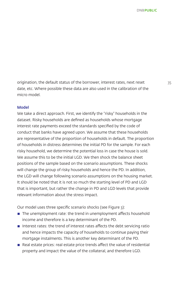origination, the default status of the borrower, interest rates, next reset 35 date, etc. Where possible these data are also used in the calibration of the micro model.

#### Model

We take a direct approach. First, we identify the "risky" households in the dataset. Risky households are defined as households whose mortgage interest rate payments exceed the standards specified by the code of conduct that banks have agreed upon. We assume that these households are representative of the proportion of households in default. The proportion of households in distress determines the initial PD for the sample. For each risky household, we determine the potential loss in case the house is sold. We assume this to be the initial LGD. We then shock the balance sheet positions of the sample based on the scenario assumptions. These shocks will change the group of risky households and hence the PD. In addition, the LGD will change following scenario assumptions on the housing market. It should be noted that it is not so much the starting level of PD and LGD that is important, but rather the change in PD and LGD levels that provide relevant information about the stress impact.

Our model uses three specific scenario shocks (see Figure 3):

- $\blacksquare$  The unemployment rate: the trend in unemployment affects household income and therefore is a key determinant of the PD.
- $\blacksquare$  Interest rates: the trend of interest rates affects the debt servicing ratio and hence impacts the capacity of households to continue paying their mortgage instalments. This is another key determinant of the PD.
- $\blacksquare$  Real estate prices: real estate price trends affect the value of residential property and impact the value of the collateral, and therefore LGD.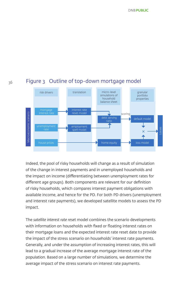# Figure 3 Outline of top-down mortgage model



Indeed, the pool of risky households will change as a result of simulation of the change in interest payments and in unemployed households and the impact on income (differentiating between unemployment rates for different age groups). Both components are relevant for our definition of risky households, which compares interest payment obligations with available income, and hence for the PD. For both PD drivers (unemployment and interest rate payments), we developed satellite models to assess the PD impact.

The *satellite interest rate reset* model combines the scenario developments with information on households with fixed or floating interest rates on their mortgage loans and the expected interest rate reset date to provide the impact of the stress scenario on households' interest rate payments. Generally, and under the assumption of increasing interest rates, this will lead to a gradual increase of the average mortgage interest rate of the population. Based on a large number of simulations, we determine the and the stress scenario on interest rate and the stress scenario on interest rate payment<br>
and the stress scenario of the change in interest payments and in unemployed household<br>
and the stress scenario on income (differen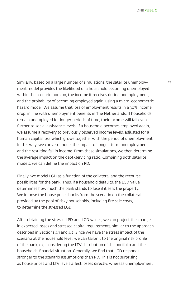Similarly, based on a large number of simulations, the satellite unemploy-<br>37 ment model provides the likelihood of a household becoming unemployed within the scenario horizon, the income it receives during unemployment, and the probability of becoming employed again, using a micro-econometric hazard model. We assume that loss of employment results in a 30% income drop, in line with unemployment benefits in The Netherlands. If households remain unemployed for longer periods of time, their income will fall even further to social assistance levels. If a household becomes employed again, we assume a recovery to previously observed income levels, adjusted for a human capital loss which grows together with the period of unemployment. In this way, we can also model the impact of longer-term unemployment and the resulting fall in income. From these simulations, we then determine the average impact on the debt-servicing ratio. Combining both satellite models, we can define the impact on PD.

Finally, we model LGD as a function of the collateral and the recourse possibilities for the bank. Thus, if a household defaults, the LGD value determines how much the bank stands to lose if it sells the property. We impose the house price shocks from the scenario on the collateral provided by the pool of risky households, including fire sale costs, to determine the stressed LGD.

After obtaining the stressed PD and LGD values, we can project the change in expected losses and stressed capital requirements, similar to the approach described in Sections 4.1 and 4.2. Since we have the stress impact of the scenario at the household level, we can tailor it to the original risk profile of the bank, e.g. considering the LTV distribution of the portfolio and the households' financial situation. Generally, we find that LGD responds stronger to the scenario assumptions than PD. This is not surprising, as house prices and LTV levels affect losses directly, whereas unemployment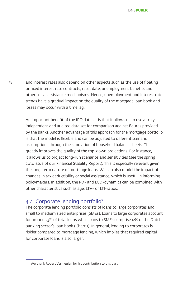38 and interest rates also depend on other aspects such as the use of floating or fixed interest rate contracts, reset date, unemployment benefits and other social assistance mechanisms. Hence, unemployment and interest rate trends have a gradual impact on the quality of the mortgage loan book and losses may occur with a time lag.

> An important benefit of the IPO dataset is that it allows us to use a truly independent and audited data set for comparison against figures provided by the banks. Another advantage of this approach for the mortgage portfolio is that the model is flexible and can be adjusted to different scenario assumptions through the simulation of household balance sheets. This greatly improves the quality of the top-down projections. For instance, it allows us to project long-run scenarios and sensitivities (see the spring 2014 issue of our Financial Stability Report). This is especially relevant given the long-term nature of mortgage loans. We can also model the impact of changes in tax deductibility or social assistance, which is useful in informing policymakers. In addition, the PD- and LGD-dynamics can be combined with other characteristics such as age, LTV- or LTI-ratios.

#### 4.4 Corporate lending portfolio<sup>5</sup>

The corporate lending portfolio consists of loans to large corporates and small to medium sized enterprises (SMEs). Loans to large corporates account for around 23% of total loans while loans to SMEs comprise 12% of the Dutch banking sector's loan book (Chart 1). In general, lending to corporates is riskier compared to mortgage lending, which implies that required capital for corporate loans is also larger.

<sup>5</sup> We thank Robert Vermeulen for his contribution to this part.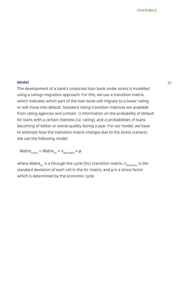#### **Model** 39

The development of a bank's corporate loan book under stress is modelled using a ratings migration approach. For this, we use a transition matrix, which indicates which part of the loan book will migrate to a lower rating or will move into default. Standard rating transition matrices are available from rating agencies and contain: 1) information on the probability of default for loans with a certain riskiness (i.e. rating), and 2) probabilities of loans becoming of better or worse quality during a year. For our model, we have to estimate how the transition matrix changes due to the stress scenario. We use the following model:

*Matrix<sub>t stress</sub>* = *Matrix<sub>ttc</sub>* ×  $\sigma$ <sub>*Matrix(ttc*)</sub> × φ

where *Matrix<sub>ttc</sub>* is a through the cycle (ttc) transition matrix, σ<sub>Matrix(ttc</sub>) is the standard deviation of each cell in the ttc matrix, and *φ* is a stress factor which is determined by the economic cycle.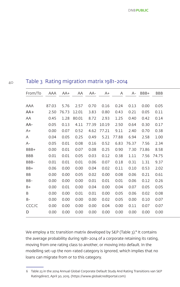#### 40 Table 3 Rating migration matrix 1981-2014

| From/To | AAA   | $AA+$            | AA    | AA-         | $A+$       | A     | A-    | BBB+       | <b>BBB</b> |
|---------|-------|------------------|-------|-------------|------------|-------|-------|------------|------------|
| AAA     | 87.03 | 5.76             | 2.57  | 0.70        | 0.16       | 0.24  | 0.13  | 0.00       | 0.05       |
| AA+     |       | 2.50 76.73 12.01 |       | 3.83        | 0.80       | 0.43  | 0.21  | 0.05       | 0.11       |
| AA      | 0.45  | 1.28             | 80.01 | 8.72        | 2.93       | 1.25  | 0.40  | 0.42       | 0.14       |
| AA-     | 0.05  | 0.13             | 4.11  | 77.39 10.19 |            | 2.50  | 0.64  | 0.30       | 0.17       |
| $A+$    | 0.00  | 0.07             | 0.52  |             | 4.62 77.21 | 9.11  | 2.40  | 0.70       | 0.38       |
| A       | 0.04  | 0.05             | 0.25  | 0.49        | 5.21       | 77.88 | 6.94  | 2.58       | 1.00       |
| A-      | 0.05  | 0.01             | 0.08  | 0.16        | 0.52       | 6.83  | 76.37 | 7.56       | 2.34       |
| BBB+    | 0.00  | 0.01             | 0.07  | 0.08        | 0.25       | 0.90  |       | 7.30 73.86 | 8.58       |
| BBB     | 0.01  | 0.01             | 0.05  | 0.03        | 0.12       | 0.38  | 1.11  | 7.56       | 74.75      |
| BBB-    | 0.01  | 0.01             | 0.01  | 0.06        | 0.07       | 0.18  | 0.31  |            | 1.31 9.37  |
| BB+     | 0.06  | 0.00             | 0.00  | 0.04        | 0.02       | 0.11  | 0.10  | 0.53       | 2.02       |
| BB      | 0.00  | 0.00             | 0.05  | 0.02        | 0.00       | 0.08  | 0.06  | 0.21       | 0.61       |
| BB-     | 0.00  | 0.00             | 0.00  | 0.01        | 0.01       | 0.01  | 0.06  | 0.12       | 0.26       |
| $B+$    | 0.00  | 0.01             | 0.00  | 0.04        | 0.00       | 0.04  | 0.07  | 0.05       | 0.05       |
| B       | 0.00  | 0.00             | 0.01  | 0.01        | 0.00       | 0.05  | 0.06  | 0.02       | 0.08       |
| $B -$   | 0.00  | 0.00             | 0.00  | 0.00        | 0.02       | 0.05  | 0.00  | 0.10       | 0.07       |
| CCC/C   | 0.00  | 0.00             | 0.00  | 0.00        | 0.04       | 0.00  | 0.11  | 0.07       | 0.07       |
| D       | 0.00  | 0.00             | 0.00  | 0.00        | 0.00       | 0.00  | 0.00  | 0.00       | 0.00       |
|         |       |                  |       |             |            |       |       |            |            |

We employ a ttc transition matrix developed by S&P (Table 3).<sup>6</sup> It contains the average probability during 1981-2014 of a corporate retaining its rating, moving from one rating class to another, or moving into default. In the modelling set-up the non-rated category is ignored, which implies that no loans can migrate from or to this category.

<sup>6</sup> Table 23 in the 2014 Annual Global Corporate Default Study And Rating Transitions van S&P Ratingdirect, April 30, 2015. (https://www.globalcreditportal.com)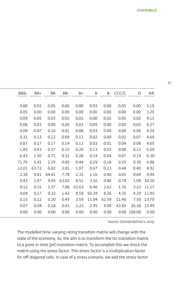Source: (Standard&Poor's, 2015)

The modelled time-varying rating transition matrix will change with the state of the economy. So, the aim is to transform the ttc transition matrix to a point in time (pit) transition matrix. To accomplish this we shock the matrix using the stress factor. This stress factor is a multiplication factor for off-diagonal cells. In case of a stress scenario, we add the stress factor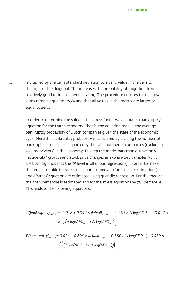42 multiplied by the cell's standard deviation to a cell's value in the cells to the right of the diagonal. This increases the probability of migrating from a relatively good rating to a worse rating. The procedure ensures that all row sums remain equal to 100% and that all values in the matrix are larger or equal to zero.

> In order to determine the value of the stress factor we estimate a bankruptcy equation for the Dutch economy. That is, the equation models the average bankruptcy probability of Dutch companies given the state of the economic cycle. Here the bankruptcy probability is calculated by dividing the number of bankruptcies in a specific quarter by the total number of companies (excluding sole proprietors) in the economy. To keep the model parsimonious we only include GDP growth and stock price changes as explanatory variables (which are both significant at the 1% level in all of our regressions). In order to make the model suitable for stress tests both a 'median' (for baseline estimations) and a 'stress' equation are estimated using quantile regression. For the median the 50th percentile is estimated and for the stress equation the  $75<sup>th</sup>$  percentile. This leads to the following equations:

$$
P(bankruptcy)_{median,t} = 0.018 + 0.892 \times default_{median,t-1} - 0.453 \times \Delta \log(GDP_{t-1}) - 0.027 \times \times \left(\frac{1}{2}(\Delta \log(AEX_{t-1}) + \Delta \log(AEX_{t-2}))\right)
$$

$$
P(bankruptcy)_{\text{stress,t}} = 0.024 + 0.894 \times default_{\text{stress,t-1}} - 0.580 \times \Delta \log(\text{GDP}_{t-1}) - 0.050 \times \frac{1}{2} (\Delta \log(AEX_{t-1}) + \Delta \log(AEX_{t-2}))
$$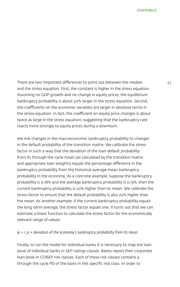There are two important differences to point out between the median 43 and the stress equation. First, the constant is higher in the stress equation. Assuming no GDP growth and no change in equity prices, the equilibrium bankruptcy probability is about 30% larger in the stress equation. Second, the coefficients on the economic variables are larger in absolute terms in the stress equation. In fact, the coefficient on equity price changes is about twice as large in the stress equation, suggesting that the bankruptcy rate reacts more strongly to equity prices during a downturn.

We link changes in the macroeconomic bankruptcy probability to changes in the default probability of the transition matrix. We calibrate the stress factor in such a way that the deviation of the loan default probability from its through the cycle mean (as calculated by the transition matrix and appropriate loan weights) equals the percentage difference in the bankruptcy probability from the historical average mean bankruptcy probability in the economy. As a concrete example, suppose the bankruptcy probability is 0.18% and the average bankruptcy probability is 0.15%, then the current bankruptcy probability is 20% higher than its mean. We calibrate the stress factor to ensure that the default probability is also 20% higher than the mean. As another example, if the current bankruptcy probability equals the long-term average, the stress factor equals one. It turns out that we can estimate a linear function to calculate the stress factor for the economically relevant range of values:

#### *φ = 1.31 × deviation of the economy's bankruptcy probability from its mean*

Finally, to run the model for individual banks it is necessary to map the loan book of individual banks in S&P ratings classes. Banks report their corporate loan book in COREP risk classes. Each of these risk classes contains a through the cycle PD of the loans in this specific risk class. In order to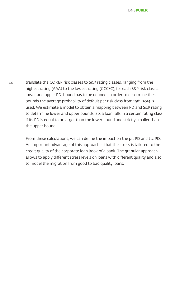44 translate the COREP risk classes to S&P rating classes, ranging from the highest rating (AAA) to the lowest rating (CCC/C), for each S&P risk class a lower and upper PD-bound has to be defined. In order to determine these bounds the average probability of default per risk class from 1981-2014 is used. We estimate a model to obtain a mapping between PD and S&P rating to determine lower and upper bounds. So, a loan falls in a certain rating class if its PD is equal to or larger than the lower bound and strictly smaller than the upper bound.

> From these calculations, we can define the impact on the pit PD and ttc PD. An important advantage of this approach is that the stress is tailored to the credit quality of the corporate loan book of a bank. The granular approach allows to apply different stress levels on loans with different quality and also to model the migration from good to bad quality loans.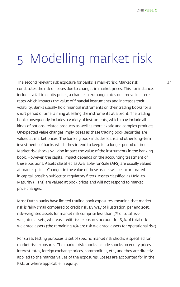# 5 Modelling market risk

The second relevant risk exposure for banks is market risk. Market risk 45 constitutes the risk of losses due to changes in market prices. This, for instance, includes a fall in equity prices, a change in exchange rates or a move in interest rates which impacts the value of financial instruments and increases their volatility. Banks usually hold financial instruments on their trading books for a short period of time, aiming at selling the instruments at a profit. The trading book consequently includes a variety of instruments, which may include all kinds of options-related products as well as more exotic and complex products. Unexpected value changes imply losses as these trading book securities are valued at market prices. The banking book includes loans and other long-term investments of banks which they intend to keep for a longer period of time. Market risk shocks will also impact the value of the instruments in the banking book. However, the capital impact depends on the accounting treatment of these positions. Assets classified as Available-for-Sale (AFS) are usually valued at market prices. Changes in the value of these assets will be incorporated in capital, possibly subject to regulatory filters. Assets classified as Hold-to-Maturity (HTM) are valued at book prices and will not respond to market price changes.

Most Dutch banks have limited trading book exposures, meaning that market risk is fairly small compared to credit risk. By way of illustration, per end 2015, risk-weighted assets for market risk comprise less than 5% of total riskweighted assets, whereas credit risk exposures account for 83% of total riskweighted assets (the remaining 13% are risk weighted assets for operational risk).

For stress testing purposes, a set of specific market risk shocks is specified for market risk exposures. The market risk shocks include shocks on equity prices, interest rates, foreign exchange prices, commodities, etc., and they are directly applied to the market values of the exposures. Losses are accounted for in the P&L, or where applicable in equity.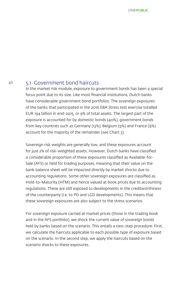#### 46 5.1 Government bond haircuts

In the market risk module, exposure to government bonds has been a special focus point due to its size. Like most financial institutions, Dutch banks have considerable government bond portfolios. The sovereign exposures of the banks that participated in the 2016 EBA Stress test exercise totalled EUR 194 billion in end-2015, or 9% of total assets. The largest part of the exposure is accounted for by domestic bonds (40%), government bonds from key countries such as Germany (13%), Belgium (9%) and France (9%) account for the majority of the remainder (see Chart 3).

Sovereign risk weights are generally low, and these exposures account for just 2% of risk-weighted assets. However, Dutch banks have classified a considerable proportion of these exposures classified as Available-for-Sale (AFS) or held for trading purposes, meaning that their value on the bank balance sheet will be impacted directly by market shocks due to accounting regulations. Some other sovereign exposures are classified as Hold-to-Maturity (HTM) and hence valued at book prices due to accounting regulations. These are still exposed to developments in the creditworthiness of the counterparty (i.e. to PD and LGD developments). This means that these sovereign exposures are also subject to the stress scenarios.

For sovereign exposure carried at market prices (those in the trading book and in the AFS portfolio), we shock the current value of sovereign bonds held by banks based on the scenario. This entails a two-step procedure. First, we calculate the haircuts applicable to each possible type of exposure based on the scenario. In the second step, we apply the haircuts based on the scenario shocks to these exposures.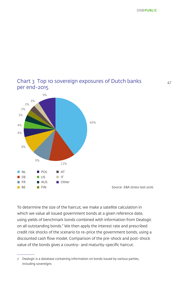**DNBPUBLIC** 



### Chart 3 Top 10 sovereign exposures of Dutch banks per end-2015

To determine the size of the haircut, we make a satellite calculation in which we value all issued government bonds at a given reference date, using yields of benchmark bonds combined with information from Dealogic on all outstanding bonds.<sup>7</sup> We then apply the interest rate and prescribed credit risk shocks of the scenario to re-price the government bonds, using a discounted cash flow model. Comparison of the pre-shock and post-shock value of the bonds gives a country- and maturity-specific haircut.

<sup>7</sup> Dealogic is a database containing information on bonds issued by various parties, including sovereigns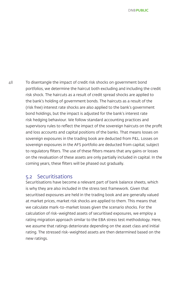48 To disentangle the impact of credit risk shocks on government bond portfolios, we determine the haircut both excluding and including the credit risk shock. The haircuts as a result of credit spread shocks are applied to the bank's holding of government bonds. The haircuts as a result of the (risk free) interest rate shocks are also applied to the bank's government bond holdings, but the impact is adjusted for the bank's interest rate risk hedging behaviour. We follow standard accounting practices and supervisory rules to reflect the impact of the sovereign haircuts on the profit and loss accounts and capital positions of the banks. That means losses on sovereign exposures in the trading book are deducted from P&L. Losses on sovereign exposures in the AFS portfolio are deducted from capital, subject to regulatory filters. The use of these filters means that any gains or losses on the revaluation of these assets are only partially included in capital. In the coming years, these filters will be phased out gradually.

#### 5.2 Securitisations

Securitisations have become a relevant part of bank balance sheets, which is why they are also included in the stress test framework. Given that securitised exposures are held in the trading book and are generally valued at market prices, market risk shocks are applied to them. This means that we calculate mark-to-market losses given the scenario shocks. For the calculation of risk-weighted assets of securitised exposures, we employ a rating migration approach similar to the EBA stress test methodology. Here, we assume that ratings deteriorate depending on the asset class and initial rating. The stressed risk-weighted assets are then determined based on the new ratings.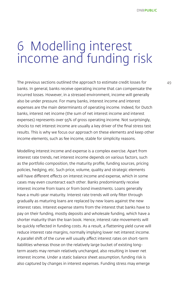### 6 Modelling interest income and funding risk

The previous sections outlined the approach to estimate credit losses for  $49$ banks. In general, banks receive operating income that can compensate the incurred losses. However, in a stressed environment, income will generally also be under pressure. For many banks, interest income and interest expenses are the main determinants of operating income. Indeed, for Dutch banks, interest net income (the sum of net interest income and interest expenses) represents over 95% of gross operating income. Not surprisingly, shocks to net interest income are usually a key driver of the final stress test results. This is why we focus our approach on these elements and keep other income elements, such as fee income, stable for simplicity reasons.

Modelling interest income and expense is a complex exercise. Apart from interest rate trends, net interest income depends on various factors, such as the portfolio composition, the maturity profile, funding sources, pricing policies, hedging, etc. Such price, volume, quality and strategic elements will have different effects on interest income and expense, which in some cases may even counteract each other. Banks predominantly receive interest income from loans or from bond investments. Loans generally have a multi-year maturity. Interest rate trends will only filter through gradually as maturing loans are replaced by new loans against the new interest rates. Interest expense stems from the interest that banks have to pay on their funding, mostly deposits and wholesale funding, which have a shorter maturity than the loan book. Hence, interest rate movements will be quickly reflected in funding costs. As a result, a flattening yield curve will reduce interest rate margins, normally implying lower net interest income. A parallel shift of the curve will usually affect interest rates on short-term liabilities whereas those on the relatively large bucket of existing longterm assets may remain relatively unchanged, also resulting in lower net interest income. Under a static balance sheet assumption, funding risk is also captured by changes in interest expenses. Funding stress may emerge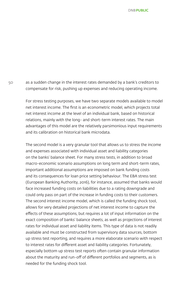50 as a sudden change in the interest rates demanded by a bank's creditors to compensate for risk, pushing up expenses and reducing operating income.

> For stress testing purposes, we have two separate models available to model net interest income. The first is an econometric model, which projects total net interest income at the level of an individual bank, based on historical relations, mainly with the long- and short-term interest rates. The main advantages of this model are the relatively parsimonious input requirements and its calibration on historical bank microdata.

> The second model is a very granular tool that allows us to stress the income and expenses associated with individual asset and liability categories on the banks' balance sheet. For many stress tests, in addition to broad macro-economic scenario assumptions on long term and short-term rates, important additional assumptions are imposed on bank funding costs and its consequences for loan price setting behaviour. The EBA stress test (European Banking Authority, 2016), for instance, assumed that banks would face increased funding costs on liabilities due to a rating downgrade and could only pass on part of the increase in funding costs to their customers. The second interest income model, which is called the funding shock tool, allows for very detailed projections of net interest income to capture the effects of these assumptions, but requires a lot of input information on the exact composition of banks' balance sheets, as well as projections of interest rates for individual asset and liability items. This type of data is not readily available and must be constructed from supervisory data sources, bottom up stress test reporting, and requires a more elaborate scenario with respect to interest rates for different asset and liability categories. Fortunately, especially bottom up stress test reports often contain granular information about the maturity and run-off of different portfolios and segments, as is needed for the funding shock tool.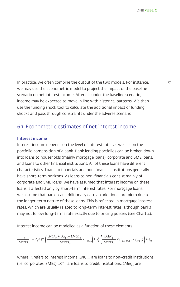In practice, we often combine the output of the two models. For instance,  $\frac{51}{51}$ we may use the econometric model to project the impact of the baseline scenario on net interest income. After all, under the baseline scenario, income may be expected to move in line with historical patterns. We then use the funding shock tool to calculate the additional impact of funding shocks and pass through constraints under the adverse scenario.

#### 6.1 Econometric estimates of net interest income

#### Interest income

Interest income depends on the level of interest rates as well as on the portfolio composition of a bank. Bank lending portfolios can be broken down into loans to households (mainly mortgage loans), corporate and SME loans, and loans to other financial institutions. All of these loans have different characteristics. Loans to financials and non-financial institutions generally have short-term horizons. As loans to non-financials consist mainly of corporate and SME loans, we have assumed that interest income on these loans is affected only by short-term interest rates. For mortgage loans, we assume that banks can additionally earn an additional premium due to the longer-term nature of these loans. This is reflected in mortgage interest rates, which are usually related to long-term interest rates, although banks may not follow long-terms rate exactly due to pricing policies (see Chart 4).

Interest income can be modelled as a function of these elements

$$
\frac{II_t}{\text{Assets}_{t-1}} = a_i + \gamma_1^u \left( \frac{\text{LNCI}_{t-1} + \text{LCI}_{t-1} + \text{LMor}_{t-1}}{\text{Assets}_{t-1}} \times r_{ST,t-1} \right) + \gamma_2^u \left( \frac{\text{LMCI}_{t-1}}{\text{Assets}_{t-1}} \times (r_{\text{mor\_NL},t-1} - r_{ST,t-1}) \right) + \varepsilon_{i,t-1} \left( \frac{\text{LMCI}_{t-1}}{\text{Assets}_{t-1}} \times (r_{\text{tr\_NL},t-1} - r_{ST,t-1}) \right)
$$

where II<sub>t</sub> refers to interest income, LNCI<sub>t-1</sub> are loans to non-credit institutions (i.e. corporates, SMEs), *LCI<sub>t-1</sub>* are loans to credit institutions, *LMor<sub>t-1</sub>* are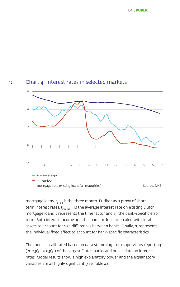

#### Chart 4 Interest rates in selected markets



mortgage loans,  $r_{\text{str}_{1}}$  is the three month-Euribor as a proxy of shortterm interest rates,  $r_{\text{max-M-t-1}}$  is the average interest rate on existing Dutch mortgage loans, t represents the time factor and  $\varepsilon$ <sub>it</sub> the bank-specific error term. Both interest income and the loan portfolio are scaled with total assets to account for size differences between banks. Finally, α represents the individual fixed effect to account for bank-specific characteristics.

The model is calibrated based on data stemming from supervisory reporting (2003Q1-2013Q1) of the largest Dutch banks and public data on interest rates. Model results show a high explanatory power and the explanatory variables are all highly significant (see Table 4).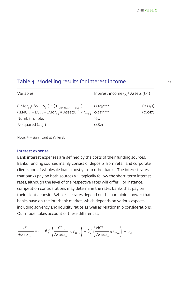**DNRPUBLIC** 

#### Table 4 Modelling results for interest income

| Variables                                                               | Interest income (t)/ Assets (t-1) |         |  |  |
|-------------------------------------------------------------------------|-----------------------------------|---------|--|--|
| $(LMor_{t-1}/Assets_{t-1}) \times (r_{Mor_NL,t-1} - r_{ST,t-1})$        | $0.125***$                        | (0.031) |  |  |
| $((LNCI_{t-1} + LCI_{t-1} + LMor_{t-1})/Assets_{t-1}) \times r_{STt-1}$ | $0.221***$                        | (0.017) |  |  |
| Number of obs                                                           | 160                               |         |  |  |
| R-squared (adj.)                                                        | 0.821                             |         |  |  |

Note: \*\*\* significant at 1% level.

#### Interest expense

Bank interest expenses are defined by the costs of their funding sources. Banks' funding sources mainly consist of deposits from retail and corporate clients and of wholesale loans mostly from other banks. The interest rates that banks pay on both sources will typically follow the short-term interest rates, although the level of the respective rates will differ. For instance, competition considerations may determine the rates banks that pay on their client deposits. Wholesale rates depend on the bargaining power that banks have on the interbank market, which depends on various aspects including solvency and liquidity ratios as well as relationship considerations. Our model takes account of these differences.

$$
\frac{I E_t}{\text{Assets}_{t-1}} = a_i + B_1^{IE} \left( \frac{C I_{t-1}}{\text{Assets}_{t-1}} \times r_{ST,t-1} \right) + B_2^{IE} \left( \frac{N C I_{t-1}}{\text{Assets}_{t-1}} \times r_{ST,t-1} \right) + \varepsilon_{it}
$$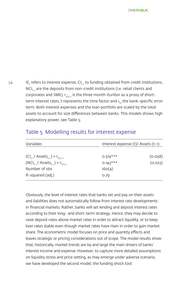$_{54}$  IE, refers to interest expense, CI $_{_{\rm t-1}}$  to funding obtained from credit institutions, NCI<sub>t-1</sub> are the deposits from non-credit institutions (i.e. retail clients and corporates and SME),  $r_{STt-1}$  is the three month-Euribor as a proxy of shortterm interest rates, t represents the time factor and ε<sub>it</sub> the bank-specific error term. Both interest expenses and the loan portfolio are scaled by the total assets to account for size differences between banks. This models shows high explanatory power, see Table 5.

### Table 5 Modelling results for interest expense

| Variables                                                | Interest expense (t)/ Assets (t-1) |         |  |  |
|----------------------------------------------------------|------------------------------------|---------|--|--|
| $(Cl_{t-1}/$ Assets <sub>t-1</sub> $) \times r_{ST,t-1}$ | $0.519***$                         | (0.058) |  |  |
| $(NCI_{t-1} / \text{Assets}_{t-1}) \times r_{STt-1}$     | $0.143***$                         | (0.023) |  |  |
| Number of obs                                            | 16O(4)                             |         |  |  |
| R-squared (adj.)                                         | 0.79                               |         |  |  |

Obviously, the level of interest rates that banks set and pay on their assets and liabilities does not automatically follow from interest rate developments in financial markets. Rather, banks will set lending and deposit interest rates according to their long- and short-term strategy. Hence, they may decide to raise deposit rates above market rates in order to attract liquidity, or to keep loan rates stable even though market rates have risen in order to gain market share. The econometric model focuses on price and quantity effects and leaves strategic or pricing considerations out of scope. The model results show that, historically, market trends are by and large the main drivers of banks' interest income and expense. However, to capture more detailed assumptions on liquidity stress and price setting, as may emerge under adverse scenario, we have developed the second model; the funding shock tool.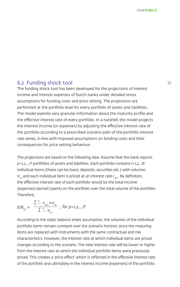#### 6.2 Funding shock tool 55

The funding shock tool has been developed for the projections of interest income and interest expenses of Dutch banks under detailed stress assumptions for funding costs and price setting. The projections are performed at the portfolio level for every portfolio of assets and liabilities. The model exploits very granular information about the maturity profile and the effective interest rate of every portfolio. In a nutshell, the model projects the interest income (or expenses) by adjusting the effective interest rate of the portfolio according to a prescribed scenario path of the portfolio interest rate series, in line with imposed assumptions on funding costs and their consequences for price setting behaviour.

The projections are based on the following idea. Assume that the bank reports *p=1,2,…,P* portfolios of assets and liabilities. Each portfolio contains *i=1,2,…N* individual items (these can be loans, deposits, securities etc.) with volumes *Vi,p* and each individual item is priced at an interest rate *ri,p,t .* By definition, the effective interest rate of each portfolio would be the total income (expenses) earned (spent) on the portfolio over the total volume of the portfolio. Therefore,

$$
EIR_{p,t} = \frac{\sum_{i=1}^{N} r_{i,p,t} \times v_{i,p}}{\sum_{i=1}^{N} v_{i,p}}
$$
, for p=1,2,...,P.

According to the static balance sheet assumption, the volumes of the individual portfolio items remain constant over the scenario horizon, since the maturing items are replaced with instruments with the same contractual and risk characteristics. However, the interest rate at which individual items are priced changes according to the scenario. The new interest rate will be lower or higher from the interest rate at which the individual portfolio items were previously priced. This creates a 'price effect' which is reflected in the effective interest rate of the portfolio and ultimately in the interest income (expenses) of the portfolio.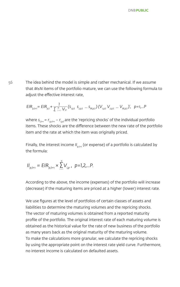56 The idea behind the model is simple and rather mechanical. If we assume that *M≤N* items of the portfolio mature, we can use the following formula to adjust the effective interest rate,

$$
EIR_{p,t+1} = EIR_{p,t} + \frac{1}{\sum_{i=1}^{N} V_{ip}} (s_{i,p,t} \ s_{2,p,t} \dots s_{M,p,t}) (V_{i,p,t} V_{2,p,t} \dots V_{M,p,t})', \ p=1,...P
$$

where  $s_{i_{t+1}} = r_{i_{t+1}} - r_{i_{t+1}}$  are the 'repricing shocks' of the individual portfolio items. These shocks are the difference between the new rate of the portfolio item and the rate at which the item was originally priced.

Finally, the interest income II<sub>nt+1</sub> (or expense) of a portfolio is calculated by the formula:

$$
II_{p,t+1} = EIR_{p,t+1} \times \sum_{i=1}^{N} V_{i,p}, \ p=1,2,...P.
$$

According to the above, the income (expenses) of the portfolio will increase (decrease) if the maturing items are priced at a higher (lower) interest rate.

We use figures at the level of portfolios of certain classes of assets and liabilities to determine the maturing volumes and the repricing shocks. The vector of maturing volumes is obtained from a reported maturity profile of the portfolio. The original interest rate of each maturing volume is obtained as the historical value for the rate of new business of the portfolio as many years back as the original maturity of the maturing volume. To make the calculations more granular, we calculate the repricing shocks by using the appropriate point on the interest rate yield curve. Furthermore, no interest income is calculated on defaulted assets.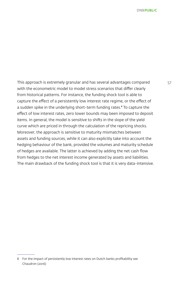This approach is extremely granular and has several advantages compared 57 with the econometric model to model stress scenarios that differ clearly from historical patterns. For instance, the funding shock tool is able to capture the effect of a persistently low interest rate regime, or the effect of a sudden spike in the underlying short-term funding rates.<sup>8</sup> To capture the effect of low interest rates, zero lower bounds may been imposed to deposit items. In general, the model is sensitive to shifts in the slope of the yield curve which are priced in through the calculation of the repricing shocks. Moreover, the approach is sensitive to maturity mismatches between assets and funding sources, while it can also explicitly take into account the hedging behaviour of the bank, provided the volumes and maturity schedule of hedges are available. The latter is achieved by adding the net cash flow from hedges to the net interest income generated by assets and liabilities. The main drawback of the funding shock tool is that it is very data-intensive.

<sup>8</sup> For the impact of persistently low interest rates on Dutch banks profitability see Chaudron (2016)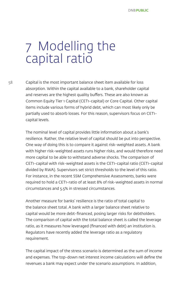### 7 Modelling the capital ratio

58 Capital is the most important balance sheet item available for loss absorption. Within the capital available to a bank, shareholder capital and reserves are the highest quality buffers. These are also known as Common Equity Tier 1 Capital (CET1-capital) or Core Capital. Other capital items include various forms of hybrid debt, which can most likely only be partially used to absorb losses. For this reason, supervisors focus on CET1 capital levels.

> The nominal level of capital provides little information about a bank's resilience. Rather, the relative level of capital should be put into perspective. One way of doing this is to compare it against risk-weighted assets. A bank with higher risk-weighted assets runs higher risks, and would therefore need more capital to be able to withstand adverse shocks. The comparison of CET1-capital with risk-weighted assets is the CET1-capital ratio (CET1-capital divided by RWA). Supervisors set strict thresholds to the level of this ratio. For instance, in the recent SSM Comprehensive Assessments, banks were required to hold a CET1-ratio of at least 8% of risk-weighted assets in normal circumstances and 5.5% in stressed circumstances.

Another measure for banks' resilience is the ratio of total capital to the balance sheet total. A bank with a larger balance sheet relative to capital would be more debt-financed, posing larger risks for debtholders. The comparison of capital with the total balance sheet is called the leverage ratio, as it measures how leveraged (financed with debt) an institution is. Regulators have recently added the leverage ratio as a regulatory requirement.

The capital impact of the stress scenario is determined as the sum of income and expenses. The top-down net interest income calculations will define the revenues a bank may expect under the scenario assumptions. In addition,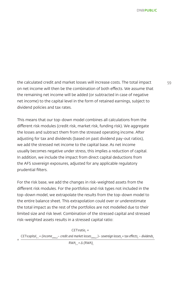the calculated credit and market losses will increase costs. The total impact 59 on net income will then be the combination of both effects. We assume that the remaining net income will be added (or subtracted in case of negative net income) to the capital level in the form of retained earnings, subject to dividend policies and tax rates.

This means that our top-down model combines all calculations from the different risk modules (credit risk, market risk, funding risk). We aggregate the losses and subtract them from the stressed operating income. After adjusting for tax and dividends (based on past dividend pay-out ratios), we add the stressed net income to the capital base. As net income usually becomes negative under stress, this implies a reduction of capital. In addition, we include the impact from direct capital deductions from the AFS sovereign exposures, adjusted for any applicable regulatory prudential filters.

For the risk base, we add the changes in risk-weighted assets from the different risk modules. For the portfolios and risk types not included in the top-down model, we extrapolate the results from the top-down model to the entire balance sheet. This extrapolation could over or underestimate the total impact as the rest of the portfolios are not modelled due to their limited size and risk level. Combination of the stressed capital and stressed risk-weighted assets results in a stressed capital ratio:

 $CET1$ ratio<sub>t</sub> = CET1capital<sub>t-1</sub> + (income<sub>stress,t</sub> – credit and market losses<sub>stress,t</sub> )– sovereign losses<sub>t</sub> + tax effects<sub>t</sub> – dividends<sub>t</sub>

*=*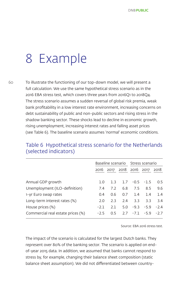### 8 Example

60 To illustrate the functioning of our top-down model, we will present a full calculation. We use the same hypothetical stress scenario as in the 2016 EBA stress test, which covers three years from 2016Q1 to 2018Q4. The stress scenario assumes a sudden reversal of global risk premia, weak bank profitability in a low interest rate environment, increasing concerns on debt sustainability of public and non-public sectors and rising stress in the shadow banking sector. These shocks lead to decline in economic growth, rising unemployment, increasing interest rates and falling asset prices (see Table 6). The baseline scenario assumes 'normal' economic conditions.

|                                   |        | Baseline scenario Stress scenario |           |             |                               |              |
|-----------------------------------|--------|-----------------------------------|-----------|-------------|-------------------------------|--------------|
|                                   |        |                                   |           |             | 2016 2017 2018 2016 2017 2018 |              |
|                                   |        |                                   |           |             |                               |              |
| Annual GDP growth                 | 1.0    | 1.3                               |           |             | $1.7 - 0.5 - 1.5$             | 0.5          |
| Unemployment (ILO-definition)     | 7.4    | 7.2                               | 6.8       | 7.5         | 8.5                           | 9.6          |
| 1-yr Euro swap rates              | 0.4    | 0.6                               | 0.7       | 1.4         | 1.4                           | 1.4          |
| Long-term interest rates (%)      | 2.0    |                                   | $2.3$ 2.4 | 3.3         | 3.3                           | 3.4          |
| House prices (%)                  | $-2.1$ | 2.1                               | 5.0       |             | $-9.3 -5.9$                   | $-2.4$       |
| Commercial real estate prices (%) | $-2.5$ | 0.5                               |           | $2.7 - 7.1$ |                               | $-5.9 - 2.7$ |
|                                   |        |                                   |           |             |                               |              |

#### Table 6 Hypothetical stress scenario for the Netherlands (selected indicators)

Source: EBA 2016 stress test.

The impact of the scenario is calculated for the largest Dutch banks. They represent over 80% of the banking sector. The scenario is applied on endof-year 2015 data. In addition, we assumed that banks cannot respond to stress by, for example, changing their balance sheet composition (static balance sheet assumption). We did not differentiated between country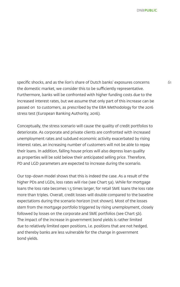specific shocks, and as the lion's share of Dutch banks' exposures concerns 61 the domestic market, we consider this to be sufficiently representative. Furthermore, banks will be confronted with higher funding costs due to the increased interest rates, but we assume that only part of this increase can be passed on to customers, as prescribed by the EBA Methodology for the 2016 stress test (European Banking Authority, 2016).

Conceptually, the stress scenario will cause the quality of credit portfolios to deteriorate. As corporate and private clients are confronted with increased unemployment rates and subdued economic activity exacerbated by rising interest rates, an increasing number of customers will not be able to repay their loans. In addition, falling house prices will also depress loan quality as properties will be sold below their anticipated selling price. Therefore, PD and LGD parameters are expected to increase during the scenario.

Our top-down model shows that this is indeed the case. As a result of the higher PDs and LGDs, loss rates will rise (see Chart 5a). While for mortgage loans the loss rate becomes 1.5 times larger, for retail SME loans the loss rate more than triples. Overall, credit losses will double compared to the baseline expectations during the scenario horizon (not shown). Most of the losses stem from the mortgage portfolio triggered by rising unemployment, closely followed by losses on the corporate and SME portfolios (see Chart 5b). The impact of the increase in government bond yields is rather limited due to relatively limited open positions, i.e. positions that are not hedged, and thereby banks are less vulnerable for the change in government bond yields.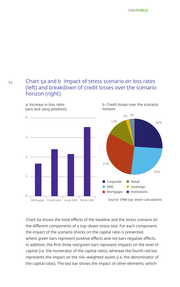62

#### Chart 5a and b Impact of stress scenario on loss rates (left) and breakdown of credit losses over the scenario horizon (right)

26% 26% 31% 2% 3% 12% Corporate SME **Mortgages Retail** Sovereign  $\blacksquare$  Institutions Source: DNB top-down calculations. a. Increase in loss rates (wrt end-2015 position) b. Credit losses over the scenario horizon 0 1  $\overline{\mathcal{L}}$ 3 4 Mortgages Corporates Large SME Retail SME

Chart 6a shows the total effects of the baseline and the stress scenario on the different components of a top-down stress test. For each component, the impact of the scenario shocks on the capital ratio is presented, where green bars represent positive effects and red bars negative effects. In addition, the first three red/green bars represent impacts on the level of capital (i.e. the numerator of the capital ratio), whereas the fourth red bar represents the impact on the risk-weighted assets (i.e. the denominator of the capital ratio). The last bar shows the impact of other elements, which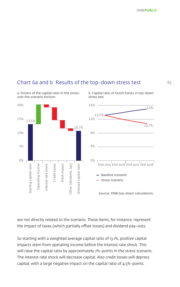b. Capital ratio of Dutch banks in top-down

#### Chart 6a and b Results of the top-down stress test

stress test

20% 16% 15% 13,1% 15% 12% 13,1%10,7% 10,7% 10% 8% 5% 4% 0% 0% starting capital ratio Operating income Stressed capital ratio End 2015 End 2016 End 2017 End 2018 Starting capital ratio Operating income nterest rate shock Interest rate shock Credit losses Credit losses RWA impact Other (dividents, tax) Other (dividents, tax) Stressed capital ratio RWA impact Baseline scenario Stress scenario Source: DNB top-down calculations.

a. Drivers of the capital ratio in the stressover the scenario horizon

are not directly related to the scenario. These items, for instance, represent the impact of taxes (which partially offset losses) and dividend pay-outs.

So starting with a weighted average capital ratio of 13.1%, positive capital impacts stem from operating income before the interest rate shock. This will raise the capital ratio by approximately 7%-points in the stress scenario. The interest rate shock will decrease capital. Also credit losses will depress capital, with a large negative impact on the capital ratio of 4.5%-points.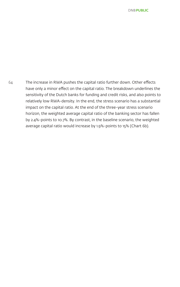64 The increase in RWA pushes the capital ratio further down. Other effects have only a minor effect on the capital ratio. The breakdown underlines the sensitivity of the Dutch banks for funding and credit risks, and also points to relatively low RWA-density. In the end, the stress scenario has a substantial impact on the capital ratio. At the end of the three-year stress scenario horizon, the weighted average capital ratio of the banking sector has fallen by 2.4%-points to 10.7%. By contrast, in the baseline scenario, the weighted average capital ratio would increase by 1.9%-points to 15% (Chart 6b).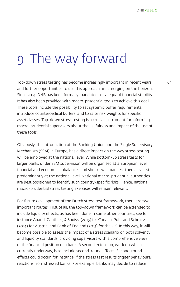### 9 The way forward

Top-down stress testing has become increasingly important in recent years, 65 and further opportunities to use this approach are emerging on the horizon. Since 2014, DNB has been formally mandated to safeguard financial stability. It has also been provided with macro-prudential tools to achieve this goal. These tools include the possibility to set systemic buffer requirements, introduce countercyclical buffers, and to raise risk weights for specific asset classes. Top-down stress testing is a crucial instrument for informing macro-prudential supervisors about the usefulness and impact of the use of these tools.

Obviously, the introduction of the Banking Union and the Single Supervisory Mechanism (SSM) in Europe, has a direct impact on the way stress testing will be employed at the national level. While bottom-up stress tests for larger banks under SSM supervision will be organised at a European level, financial and economic imbalances and shocks will manifest themselves still predominantly at the national level. National macro-prudential authorities are best positioned to identify such country-specific risks. Hence, national macro-prudential stress testing exercises will remain relevant.

For future development of the Dutch stress test framework, there are two important routes. First of all, the top-down framework can be extended to include liquidity effects, as has been done in some other countries, see for instance Anand, Gauthier, & Souissi (2015) for Canada, Puhr and Schmitz (2014) for Austria, and Bank of England (2013) for the UK. In this way, it will become possible to assess the impact of a stress scenario on both solvency and liquidity standards, providing supervisors with a comprehensive view of the financial position of a bank. A second extension, work on which is currently underway, is to include second-round effects. Second-round effects could occur, for instance, if the stress test results trigger behavioural reactions from stressed banks. For example, banks may decide to reduce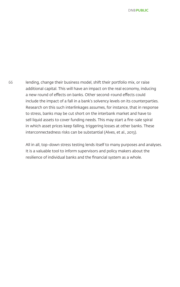66 lending, change their business model, shift their portfolio mix, or raise additional capital. This will have an impact on the real economy, inducing a new round of effects on banks. Other second-round effects could include the impact of a fall in a bank's solvency levels on its counterparties. Research on this such interlinkages assumes, for instance, that in response to stress, banks may be cut short on the interbank market and have to sell liquid assets to cover funding needs. This may start a fire-sale spiral in which asset prices keep falling, triggering losses at other banks. These interconnectedness risks can be substantial (Alves, et al., 2013).

> All in all, top-down stress testing lends itself to many purposes and analyses. It is a valuable tool to inform supervisors and policy makers about the resilience of individual banks and the financial system as a whole.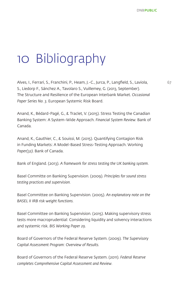## 10 Bibliography

Alves, I., Ferrari, S., Franchini, P., Heam, J.-C., Jurca, P., Langfield, S., Laviola, S., Liedorp F., Sánchez A., Tavolaro S., Vuillemey, G. (2013, September). The Structure and Resilience of the European Interbank Market. *Occasional Paper Series No. 3*. European Systemic Risk Board.

Anand, K., Bédard-Pagé, G., & Traclet, V. (2015). Stress Testing the Canadian Banking System: A System-Wide Approach. *Financial System Review.* Bank of Canada.

Anand, K., Gauthier, C., & Souissi, M. (2015). Quantifying Contagion Risk in Funding Markets: A Model-Based Stress-Testing Approach. Working *Paper(32)*. Bank of Canada.

Bank of England. (2013). *A framework for stress testing the UK banking system*.

Basel Committe on Banking Supervision. (2009). *Principles for sound stress testing practices and supervision.*

Basel Committee on Banking Supervision. (2005). *An explanatory note on the BASEL II IRB risk weight functions.* 

Basel Committee on Banking Supervision. (2015). Making supervisory stress tests more macroprudential: Considering liquidity and solvency interactions and systemic risk. *BIS Working Paper 29*.

Board of Governors of the Federal Reserve System. (2009). *The Supervisory Capital Assessment Program: Overview of Results.* 

Board of Governors of the Federal Reserve System. (2011). *Federal Reserve completes Comprehensive Capital Assessment and Review.*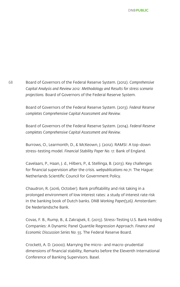68 Board of Governors of the Federal Reserve System. (2012). *Comprehensive Capital Analysis and Review 2012: Methodology and Results for stress scenario projections.* Board of Governors of the Federal Reserve System.

> Board of Governors of the Federal Reserve System. (2013). *Federal Reserve completes Comprehensive Capital Assessment and Review.*

> Board of Governors of the Federal Reserve System. (2014). *Federal Reserve completes Comprehensive Capital Assessment and Review.*

Burrows, O., Learmonth, D., & McKeown, J. (2012). RAMSI: A top-down stress-testing model. *Financial Stability Paper No. 17.* Bank of England.

Cavelaars, P., Haan, J. d., Hilbers, P., & Stellinga, B. (2013). Key challenges for financial supervision after the crisis. *webpublications no.71.* The Hague: Netherlands Scientific Council for Government Policy.

Chaudron, R. (2016, October). Bank profitability and risk taking in a prolonged environment of low interest rates: a study of interest rate risk in the banking book of Dutch banks. D*NB Working Paper(526).* Amsterdam: De Nederlandsche Bank.

Covas, F. B., Rump, B., & Zakrajsek, E. (2013). Stress-Testing U.S. Bank Holding Companies: A Dynamic Panel Quantile Regression Approach. *Finance and Economic Discussion Series No. 55.* The Federal Reserve Board.

Crockett, A. D. (2000). Marrying the micro- and macro-prudential dimensions of financial stability, Remarks before the Eleventh International Conference of Banking Supervisors. Basel.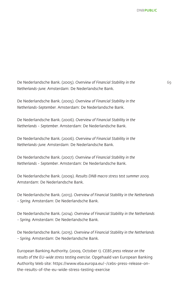De Nederlandsche Bank. (2005). *Overview of Financial Stability in the* 69 *Netherlands-June.* Amsterdam: De Nederlandsche Bank.

De Nederlandsche Bank. (2005). *Overview of Financial Stability in the Netherlands-September.* Amsterdam: De Nederlandsche Bank.

De Nederlandsche Bank. (2006). *Overview of Financial Stability in the Netherlands - September.* Amsterdam: De Nederlandsche Bank.

De Nederlandsche Bank. (2006). *Overview of Financial Stability in the Netherlands-June.* Amsterdam: De Nederlandsche Bank.

De Nederlandsche Bank. (2007). *Overview of Financial Stability in the Netherlands - September*. Amsterdam: De Nederlandsche Bank.

De Nederlandsche Bank. (2009). *Results DNB macro stress test summer 2009.*  Amsterdam: De Nederlandsche Bank.

De Nederlandsche Bank. (2013). *Overview of Financial Stability in the Netherlands - Spring.* Amsterdam: De Nederlandsche Bank.

De Nederlandsche Bank. (2014). *Overview of Financial Stability in the Netherlands - Spring.* Amsterdam: De Nederlandsche Bank.

De Nederlandsche Bank. (2015). *Overview of Financial Stability in the Netherlands - Spring*. Amsterdam: De Nederlandsche Bank.

European Banking Authority. (2009, October 1). *CEBS press release on the results of the EU-wide stress testing exercise.* Opgehaald van European Banking Authority Web site: https://www.eba.europa.eu/-/cebs-press-release-onthe-results-of-the-eu-wide-stress-testing-exercise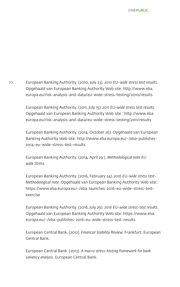70 European Banking Authority. (2010, July 23). *2010 EU-wide stress test results*. Opgehaald van European Banking Authority Web site: http://www.eba. europa.eu/risk-analysis-and-data/eu-wide-stress-testing/2010/results

> European Banking Authority. (2011, July 15). *2011 EU-wide stress test results.*  Opgehaald van European Banking Authority Web site : http://www.eba. europa.eu/risk-analysis-and-data/eu-wide-stress-testing/2011/results

European Banking Authority. (2014, October 26). Opgehaald van European Banking Authority Web site: http://www.eba.europa.eu/-/eba-publishes-2014-eu-wide-stress-test-results

European Banking Authority. (2014, April 29 ). *Methodological note EU wide Stress.*

European Banking Authority. (2016, February 24). *2016 EU-wide stress test-Methodological note.* Opgehaald van European Banking Authority Web site: https://www.eba.europa.eu/-/eba-launches-2016-eu-wide-stress-testexercise

European Banking Authority. (2016, July 29). *2016 EU-wide stress-test results*. Opgehaald van European Banking Authority Web site: https://www.eba. europa.eu/-/eba-publishes-2016-eu-wide-stress-test-results

European Central Bank. (2012). *Financial Stability Review*. Frankfurt: European Central Bank.

European Central Bank. (2013). *A macro stress-testing framework for bank solvency analysis.* European Central Bank.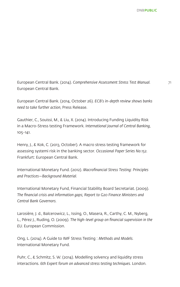European Central Bank. (2014). *Comprehensive Assessment Stress Test Manual.* 71 European Central Bank.

European Central Bank. (2014, October 26). *ECB's in-depth review shows banks need to take further action*, Press Release.

Gauthier, C., Souissi, M., & Liu, X. (2014). Introducing Funding Liquidity Risk in a Macro-Stress testing Framework. *International Journal of Central Banking*, 105-141.

Henry, J., & Kok, C. (2013, October). A macro stress testing framework for assessing systemi risk in the banking sector. *Occasional Paper Series No.152.* Frankfurt: European Central Bank.

International Monetary Fund. (2012). *Macrofinancial Stress Testing: Principles and Practices—Background Material.* 

International Monetary Fund, Financial Stability Board Secretariat. (2009). *The financial crisis and information gaps; Report to G20 Finance Ministers and Central Bank Governors.* 

Larosière, J. d., Balcerowicz, L., Issing, O., Masera, R., Carthy, C. M., Nyberg, L., Pérez J., Ruding, O. (2009). *The high-level group on financial supervision in the EU.* European Commission.

Ong, L. (2014). A Guide to IMF Stress Testing : *Methods and Models.*  International Monetary Fund.

Puhr, C., & Schmitz, S. W. (2014). Modelling solvency and liquidity stress interactions. *6th Expert forum on advanced stress testing techniques.* London.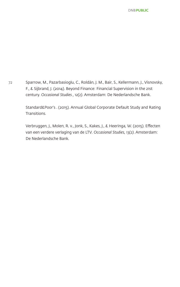72 Sparrow, M., Pazarbasioglu, C., Roldán, J. M., Bair, S., Kellermann, J., Visnovsky, F., & Sijbrand, J. (2014). Beyond Finance: Financial Supervision in the 21st century. *Occasional Studies , 12(2)*. Amsterdam: De Nederlandsche Bank.

> Standard&Poor's . (2015). Annual Global Corporate Default Study and Rating Transitions.

> Verbruggen, J., Molen, R. v., Jonk, S., Kakes, J., & Heeringa, W. (2015). Effecten van een verdere verlaging van de LTV. *Occasional Studies, 13(2)*. Amsterdam: De Nederlandsche Bank.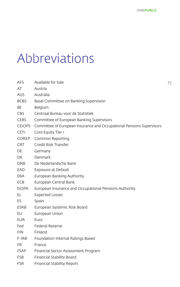## Abbreviations

| AFS              | Available for Sale<br>73                                              |  |  |  |
|------------------|-----------------------------------------------------------------------|--|--|--|
| AT               | Austria                                                               |  |  |  |
| <b>AUS</b>       | Australia                                                             |  |  |  |
| <b>BCBS</b>      | Basel Committee on Banking Supervision                                |  |  |  |
| BE               | Belgium                                                               |  |  |  |
| CBS              | Centraal Bureau voor de Statistiek                                    |  |  |  |
| <b>CEBS</b>      | Committee of European Banking Supervisors                             |  |  |  |
| <b>CEIOPS</b>    | Committee of European Insurance and Occupational Pensions Supervisors |  |  |  |
| CET <sub>1</sub> | Core Equity Tier 1                                                    |  |  |  |
| COREP            | Common Reporting                                                      |  |  |  |
| <b>CRT</b>       | Credit Risk Transfer                                                  |  |  |  |
| DE               | Germany                                                               |  |  |  |
| DK.              | Denmark                                                               |  |  |  |
| DNB              | De Nederlandsche Bank                                                 |  |  |  |
| EAD              | Exposure at Default                                                   |  |  |  |
| EBA              | European Banking Authority                                            |  |  |  |
| ECB              | European Central Bank                                                 |  |  |  |
| <b>EIOPA</b>     | European Insurance and Occupational Pensions Authority                |  |  |  |
| EL.              | <b>Expected Losses</b>                                                |  |  |  |
| ES.              | Spain                                                                 |  |  |  |
| <b>ESRB</b>      | European Systemic Risk Board                                          |  |  |  |
| EU               | European Union                                                        |  |  |  |
| EUR              | Euro                                                                  |  |  |  |
| Fed              | <b>Federal Reserve</b>                                                |  |  |  |
| <b>FIN</b>       | Finland                                                               |  |  |  |
| $F-IRB$          | Foundation Internal Ratings Based                                     |  |  |  |
| <b>FR</b>        | France                                                                |  |  |  |
| FSAP             | Financial Sector Assessment Program                                   |  |  |  |
| <b>FSB</b>       | Financial Stability Board                                             |  |  |  |
| <b>FSR</b>       | <b>Financial Stability Report</b>                                     |  |  |  |
|                  |                                                                       |  |  |  |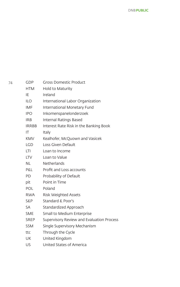| 74 | <b>GDP</b> | <b>Gross Domestic Product</b> |
|----|------------|-------------------------------|
|    |            |                               |

- HTM Hold to Maturity
- IE Ireland
- ILO International Labor Organization
- IMF International Monetary Fund
- IPO Inkomenspanelonderzoek
- IRB Internal Ratings Based
- IRRBB Interest Rate Risk in the Banking Book
- IT Italy
- KMV Kealhofer, McOuown and Vasicek
- LGD Loss Given Default
- LTI Loan to Income
- LTV Loan to Value
- NL Netherlands
- P&L Profit and Loss accounts
- PD Probability of Default
- pit Point in Time
- POL Poland
- RWA Risk Weighted Assets
- S&P Standard & Poor's
- SA Standardized Approach
- SME Small to Medium Enterprise
- SREP Supervisory Review and Evaluation Process
- SSM Single Supervisory Mechanism
- ttc Through the Cycle
- UK United Kingdom
- US United States of America